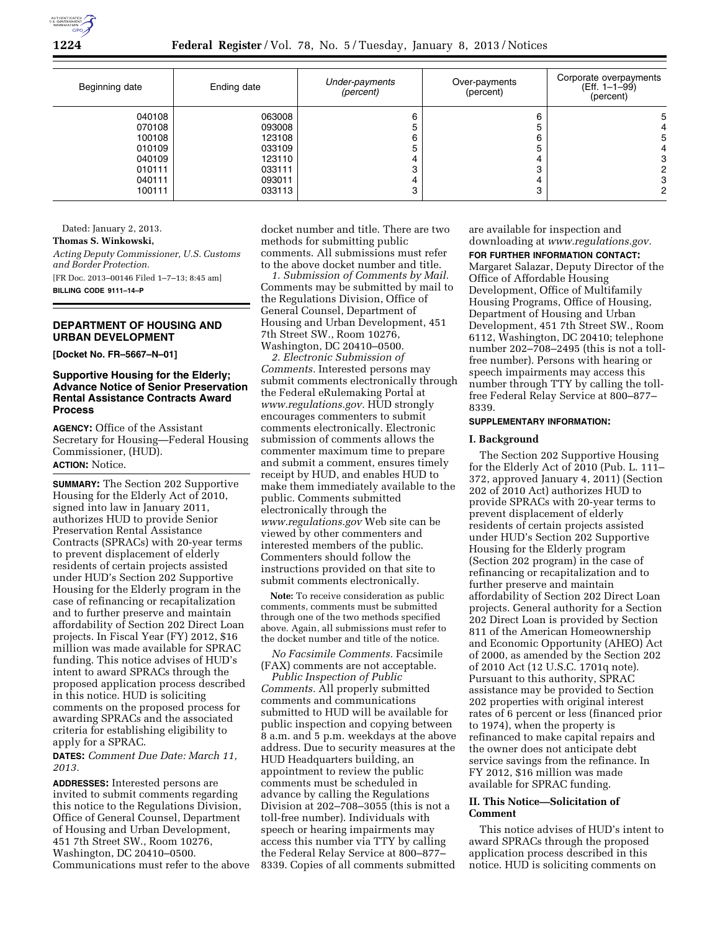

| Beginning date                                                     | Ending date                                                        | Under-payments<br>(percent) | Over-payments<br>(percent) | Corporate overpayments<br>(Eff. 1-1-99)<br>(percent) |
|--------------------------------------------------------------------|--------------------------------------------------------------------|-----------------------------|----------------------------|------------------------------------------------------|
| 040108<br>070108<br>100108<br>010109<br>040109<br>010111<br>040111 | 063008<br>093008<br>123108<br>033109<br>123110<br>033111<br>093011 | 5<br>6<br>5                 | 6<br>h<br>6<br>C.          | 5<br>٥<br>3                                          |
| 100111                                                             | 033113                                                             | 3                           | ∩                          |                                                      |

Dated: January 2, 2013.

**Thomas S. Winkowski,**  *Acting Deputy Commissioner, U.S. Customs and Border Protection.*  [FR Doc. 2013–00146 Filed 1–7–13; 8:45 am] **BILLING CODE 9111–14–P** 

## **DEPARTMENT OF HOUSING AND URBAN DEVELOPMENT**

**[Docket No. FR–5667–N–01]** 

## **Supportive Housing for the Elderly; Advance Notice of Senior Preservation Rental Assistance Contracts Award Process**

**AGENCY:** Office of the Assistant Secretary for Housing—Federal Housing Commissioner, (HUD). **ACTION:** Notice.

**SUMMARY:** The Section 202 Supportive Housing for the Elderly Act of 2010, signed into law in January 2011, authorizes HUD to provide Senior Preservation Rental Assistance Contracts (SPRACs) with 20-year terms to prevent displacement of elderly residents of certain projects assisted under HUD's Section 202 Supportive Housing for the Elderly program in the case of refinancing or recapitalization and to further preserve and maintain affordability of Section 202 Direct Loan projects. In Fiscal Year (FY) 2012, \$16 million was made available for SPRAC funding. This notice advises of HUD's intent to award SPRACs through the proposed application process described in this notice. HUD is soliciting comments on the proposed process for awarding SPRACs and the associated criteria for establishing eligibility to apply for a SPRAC.

**DATES:** *Comment Due Date: March 11, 2013.* 

**ADDRESSES:** Interested persons are invited to submit comments regarding this notice to the Regulations Division, Office of General Counsel, Department of Housing and Urban Development, 451 7th Street SW., Room 10276, Washington, DC 20410–0500. Communications must refer to the above docket number and title. There are two methods for submitting public comments. All submissions must refer to the above docket number and title.

*1. Submission of Comments by Mail.*  Comments may be submitted by mail to the Regulations Division, Office of General Counsel, Department of Housing and Urban Development, 451 7th Street SW., Room 10276, Washington, DC 20410–0500.

*2. Electronic Submission of Comments.* Interested persons may submit comments electronically through the Federal eRulemaking Portal at *[www.regulations.gov.](http://www.regulations.gov)* HUD strongly encourages commenters to submit comments electronically. Electronic submission of comments allows the commenter maximum time to prepare and submit a comment, ensures timely receipt by HUD, and enables HUD to make them immediately available to the public. Comments submitted electronically through the *[www.regulations.gov](http://www.regulations.gov)* Web site can be viewed by other commenters and interested members of the public. Commenters should follow the instructions provided on that site to submit comments electronically.

**Note:** To receive consideration as public comments, comments must be submitted through one of the two methods specified above. Again, all submissions must refer to the docket number and title of the notice.

*No Facsimile Comments.* Facsimile (FAX) comments are not acceptable.

*Public Inspection of Public Comments.* All properly submitted comments and communications submitted to HUD will be available for public inspection and copying between 8 a.m. and 5 p.m. weekdays at the above address. Due to security measures at the HUD Headquarters building, an appointment to review the public comments must be scheduled in advance by calling the Regulations Division at 202–708–3055 (this is not a toll-free number). Individuals with speech or hearing impairments may access this number via TTY by calling the Federal Relay Service at 800–877– 8339. Copies of all comments submitted

are available for inspection and downloading at *[www.regulations.gov.](http://www.regulations.gov)* 

**FOR FURTHER INFORMATION CONTACT:**  Margaret Salazar, Deputy Director of the Office of Affordable Housing Development, Office of Multifamily Housing Programs, Office of Housing, Department of Housing and Urban Development, 451 7th Street SW., Room 6112, Washington, DC 20410; telephone number 202–708–2495 (this is not a tollfree number). Persons with hearing or speech impairments may access this number through TTY by calling the tollfree Federal Relay Service at 800–877– 8339.

# **SUPPLEMENTARY INFORMATION:**

#### **I. Background**

The Section 202 Supportive Housing for the Elderly Act of 2010 (Pub. L. 111– 372, approved January 4, 2011) (Section 202 of 2010 Act) authorizes HUD to provide SPRACs with 20-year terms to prevent displacement of elderly residents of certain projects assisted under HUD's Section 202 Supportive Housing for the Elderly program (Section 202 program) in the case of refinancing or recapitalization and to further preserve and maintain affordability of Section 202 Direct Loan projects. General authority for a Section 202 Direct Loan is provided by Section 811 of the American Homeownership and Economic Opportunity (AHEO) Act of 2000, as amended by the Section 202 of 2010 Act (12 U.S.C. 1701q note). Pursuant to this authority, SPRAC assistance may be provided to Section 202 properties with original interest rates of 6 percent or less (financed prior to 1974), when the property is refinanced to make capital repairs and the owner does not anticipate debt service savings from the refinance. In FY 2012, \$16 million was made available for SPRAC funding.

# **II. This Notice—Solicitation of Comment**

This notice advises of HUD's intent to award SPRACs through the proposed application process described in this notice. HUD is soliciting comments on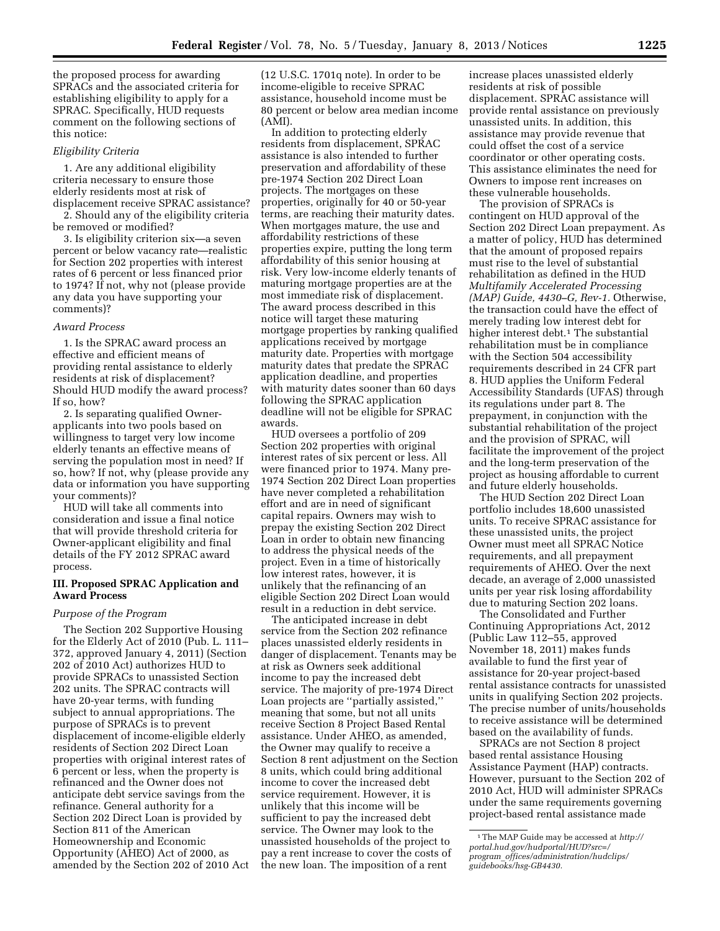the proposed process for awarding SPRACs and the associated criteria for establishing eligibility to apply for a SPRAC. Specifically, HUD requests comment on the following sections of this notice:

#### *Eligibility Criteria*

1. Are any additional eligibility criteria necessary to ensure those elderly residents most at risk of displacement receive SPRAC assistance?

2. Should any of the eligibility criteria be removed or modified?

3. Is eligibility criterion six—a seven percent or below vacancy rate—realistic for Section 202 properties with interest rates of 6 percent or less financed prior to 1974? If not, why not (please provide any data you have supporting your comments)?

#### *Award Process*

1. Is the SPRAC award process an effective and efficient means of providing rental assistance to elderly residents at risk of displacement? Should HUD modify the award process? If so, how?

2. Is separating qualified Ownerapplicants into two pools based on willingness to target very low income elderly tenants an effective means of serving the population most in need? If so, how? If not, why (please provide any data or information you have supporting your comments)?

HUD will take all comments into consideration and issue a final notice that will provide threshold criteria for Owner-applicant eligibility and final details of the FY 2012 SPRAC award process.

### **III. Proposed SPRAC Application and Award Process**

### *Purpose of the Program*

The Section 202 Supportive Housing for the Elderly Act of 2010 (Pub. L. 111– 372, approved January 4, 2011) (Section 202 of 2010 Act) authorizes HUD to provide SPRACs to unassisted Section 202 units. The SPRAC contracts will have 20-year terms, with funding subject to annual appropriations. The purpose of SPRACs is to prevent displacement of income-eligible elderly residents of Section 202 Direct Loan properties with original interest rates of 6 percent or less, when the property is refinanced and the Owner does not anticipate debt service savings from the refinance. General authority for a Section 202 Direct Loan is provided by Section 811 of the American Homeownership and Economic Opportunity (AHEO) Act of 2000, as amended by the Section 202 of 2010 Act (12 U.S.C. 1701q note). In order to be income-eligible to receive SPRAC assistance, household income must be 80 percent or below area median income (AMI).

In addition to protecting elderly residents from displacement, SPRAC assistance is also intended to further preservation and affordability of these pre-1974 Section 202 Direct Loan projects. The mortgages on these properties, originally for 40 or 50-year terms, are reaching their maturity dates. When mortgages mature, the use and affordability restrictions of these properties expire, putting the long term affordability of this senior housing at risk. Very low-income elderly tenants of maturing mortgage properties are at the most immediate risk of displacement. The award process described in this notice will target these maturing mortgage properties by ranking qualified applications received by mortgage maturity date. Properties with mortgage maturity dates that predate the SPRAC application deadline, and properties with maturity dates sooner than 60 days following the SPRAC application deadline will not be eligible for SPRAC awards.

HUD oversees a portfolio of 209 Section 202 properties with original interest rates of six percent or less. All were financed prior to 1974. Many pre-1974 Section 202 Direct Loan properties have never completed a rehabilitation effort and are in need of significant capital repairs. Owners may wish to prepay the existing Section 202 Direct Loan in order to obtain new financing to address the physical needs of the project. Even in a time of historically low interest rates, however, it is unlikely that the refinancing of an eligible Section 202 Direct Loan would result in a reduction in debt service.

The anticipated increase in debt service from the Section 202 refinance places unassisted elderly residents in danger of displacement. Tenants may be at risk as Owners seek additional income to pay the increased debt service. The majority of pre-1974 Direct Loan projects are ''partially assisted,'' meaning that some, but not all units receive Section 8 Project Based Rental assistance. Under AHEO, as amended, the Owner may qualify to receive a Section 8 rent adjustment on the Section 8 units, which could bring additional income to cover the increased debt service requirement. However, it is unlikely that this income will be sufficient to pay the increased debt service. The Owner may look to the unassisted households of the project to pay a rent increase to cover the costs of the new loan. The imposition of a rent

increase places unassisted elderly residents at risk of possible displacement. SPRAC assistance will provide rental assistance on previously unassisted units. In addition, this assistance may provide revenue that could offset the cost of a service coordinator or other operating costs. This assistance eliminates the need for Owners to impose rent increases on these vulnerable households.

The provision of SPRACs is contingent on HUD approval of the Section 202 Direct Loan prepayment. As a matter of policy, HUD has determined that the amount of proposed repairs must rise to the level of substantial rehabilitation as defined in the HUD *Multifamily Accelerated Processing (MAP) Guide, 4430–G, Rev-1.* Otherwise, the transaction could have the effect of merely trading low interest debt for higher interest debt.<sup>1</sup> The substantial rehabilitation must be in compliance with the Section 504 accessibility requirements described in 24 CFR part 8. HUD applies the Uniform Federal Accessibility Standards (UFAS) through its regulations under part 8. The prepayment, in conjunction with the substantial rehabilitation of the project and the provision of SPRAC, will facilitate the improvement of the project and the long-term preservation of the project as housing affordable to current and future elderly households.

The HUD Section 202 Direct Loan portfolio includes 18,600 unassisted units. To receive SPRAC assistance for these unassisted units, the project Owner must meet all SPRAC Notice requirements, and all prepayment requirements of AHEO. Over the next decade, an average of 2,000 unassisted units per year risk losing affordability due to maturing Section 202 loans.

The Consolidated and Further Continuing Appropriations Act, 2012 (Public Law 112–55, approved November 18, 2011) makes funds available to fund the first year of assistance for 20-year project-based rental assistance contracts for unassisted units in qualifying Section 202 projects. The precise number of units/households to receive assistance will be determined based on the availability of funds.

SPRACs are not Section 8 project based rental assistance Housing Assistance Payment (HAP) contracts. However, pursuant to the Section 202 of 2010 Act, HUD will administer SPRACs under the same requirements governing project-based rental assistance made

<sup>1</sup>The MAP Guide may be accessed at *[http://](http://portal.hud.gov/hudportal/HUD?src=/program_offices/administration/hudclips/guidebooks/hsg-GB4430) [portal.hud.gov/hudportal/HUD?src=/](http://portal.hud.gov/hudportal/HUD?src=/program_offices/administration/hudclips/guidebooks/hsg-GB4430) program*\_*[offices/administration/hudclips/](http://portal.hud.gov/hudportal/HUD?src=/program_offices/administration/hudclips/guidebooks/hsg-GB4430)  [guidebooks/hsg-GB4430.](http://portal.hud.gov/hudportal/HUD?src=/program_offices/administration/hudclips/guidebooks/hsg-GB4430)*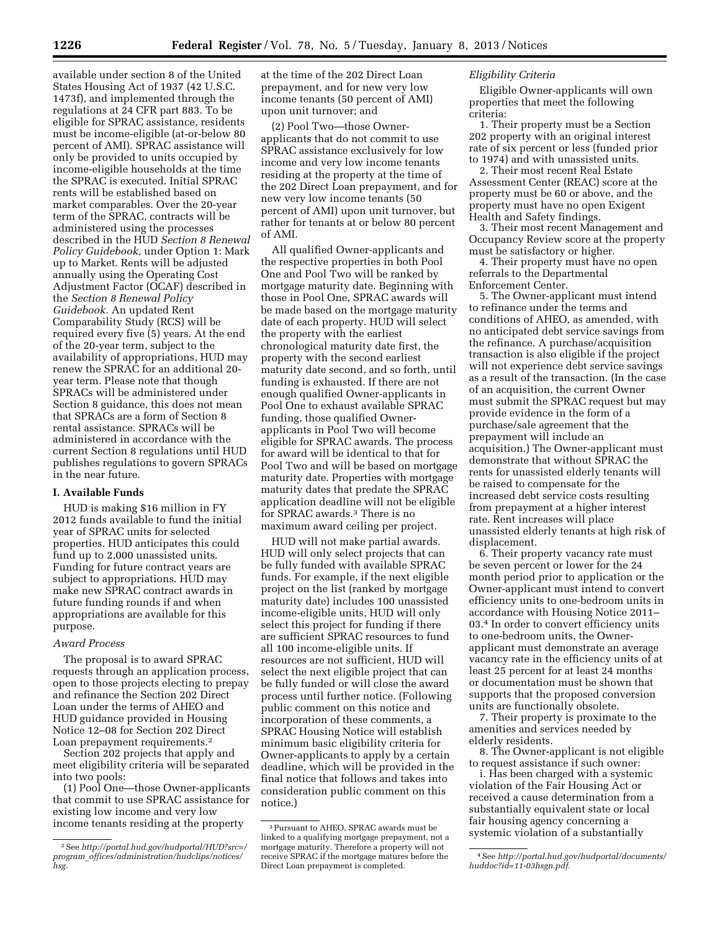available under section 8 of the United States Housing Act of 1937 (42 U.S.C. 1473f), and implemented through the regulations at 24 CFR part 883. To be eligible for SPRAC assistance, residents must be income-eligible (at-or-below 80 percent of AMI). SPRAC assistance will only be provided to units occupied by income-eligible households at the time the SPRAC is executed. Initial SPRAC rents will be established based on market comparables. Over the 20-year term of the SPRAC, contracts will be administered using the processes described in the HUD *Section 8 Renewal Policy Guidebook,* under Option 1: Mark up to Market. Rents will be adjusted annually using the Operating Cost Adjustment Factor (OCAF) described in the *Section 8 Renewal Policy Guidebook.* An updated Rent Comparability Study (RCS) will be required every five (5) years. At the end of the 20-year term, subject to the availability of appropriations, HUD may renew the SPRAC for an additional 20 year term. Please note that though SPRACs will be administered under Section 8 guidance, this does not mean that SPRACs are a form of Section 8 rental assistance. SPRACs will be administered in accordance with the current Section 8 regulations until HUD publishes regulations to govern SPRACs in the near future.

### **I. Available Funds**

HUD is making \$16 million in FY 2012 funds available to fund the initial year of SPRAC units for selected properties. HUD anticipates this could fund up to 2,000 unassisted units. Funding for future contract years are subject to appropriations. HUD may make new SPRAC contract awards in future funding rounds if and when appropriations are available for this purpose.

### *Award Process*

The proposal is to award SPRAC requests through an application process, open to those projects electing to prepay and refinance the Section 202 Direct Loan under the terms of AHEO and HUD guidance provided in Housing Notice 12–08 for Section 202 Direct Loan prepayment requirements.2

Section 202 projects that apply and meet eligibility criteria will be separated into two pools:

(1) Pool One—those Owner-applicants that commit to use SPRAC assistance for existing low income and very low income tenants residing at the property

at the time of the 202 Direct Loan prepayment, and for new very low income tenants (50 percent of AMI) upon unit turnover; and

(2) Pool Two—those Ownerapplicants that do not commit to use SPRAC assistance exclusively for low income and very low income tenants residing at the property at the time of the 202 Direct Loan prepayment, and for new very low income tenants (50 percent of AMI) upon unit turnover, but rather for tenants at or below 80 percent of AMI.

All qualified Owner-applicants and the respective properties in both Pool One and Pool Two will be ranked by mortgage maturity date. Beginning with those in Pool One, SPRAC awards will be made based on the mortgage maturity date of each property. HUD will select the property with the earliest chronological maturity date first, the property with the second earliest maturity date second, and so forth, until funding is exhausted. If there are not enough qualified Owner-applicants in Pool One to exhaust available SPRAC funding, those qualified Ownerapplicants in Pool Two will become eligible for SPRAC awards. The process for award will be identical to that for Pool Two and will be based on mortgage maturity date. Properties with mortgage maturity dates that predate the SPRAC application deadline will not be eligible for SPRAC awards.3 There is no maximum award ceiling per project.

HUD will not make partial awards. HUD will only select projects that can be fully funded with available SPRAC funds. For example, if the next eligible project on the list (ranked by mortgage maturity date) includes 100 unassisted income-eligible units, HUD will only select this project for funding if there are sufficient SPRAC resources to fund all 100 income-eligible units. If resources are not sufficient, HUD will select the next eligible project that can be fully funded or will close the award process until further notice. (Following public comment on this notice and incorporation of these comments, a SPRAC Housing Notice will establish minimum basic eligibility criteria for Owner-applicants to apply by a certain deadline, which will be provided in the final notice that follows and takes into consideration public comment on this notice.)

### *Eligibility Criteria*

Eligible Owner-applicants will own properties that meet the following criteria:

1. Their property must be a Section 202 property with an original interest rate of six percent or less (funded prior to 1974) and with unassisted units.

2. Their most recent Real Estate Assessment Center (REAC) score at the property must be 60 or above, and the property must have no open Exigent Health and Safety findings.

3. Their most recent Management and Occupancy Review score at the property must be satisfactory or higher.

4. Their property must have no open referrals to the Departmental Enforcement Center.

5. The Owner-applicant must intend to refinance under the terms and conditions of AHEO, as amended, with no anticipated debt service savings from the refinance. A purchase/acquisition transaction is also eligible if the project will not experience debt service savings as a result of the transaction. (In the case of an acquisition, the current Owner must submit the SPRAC request but may provide evidence in the form of a purchase/sale agreement that the prepayment will include an acquisition.) The Owner-applicant must demonstrate that without SPRAC the rents for unassisted elderly tenants will be raised to compensate for the increased debt service costs resulting from prepayment at a higher interest rate. Rent increases will place unassisted elderly tenants at high risk of displacement.

6. Their property vacancy rate must be seven percent or lower for the 24 month period prior to application or the Owner-applicant must intend to convert efficiency units to one-bedroom units in accordance with Housing Notice 2011– 03.4 In order to convert efficiency units to one-bedroom units, the Ownerapplicant must demonstrate an average vacancy rate in the efficiency units of at least 25 percent for at least 24 months or documentation must be shown that supports that the proposed conversion units are functionally obsolete.

7. Their property is proximate to the amenities and services needed by elderly residents.

8. The Owner-applicant is not eligible to request assistance if such owner:

i. Has been charged with a systemic violation of the Fair Housing Act or received a cause determination from a substantially equivalent state or local fair housing agency concerning a systemic violation of a substantially

<sup>2</sup>See *[http://portal.hud.gov/hudportal/HUD?src=/](http://portal.hud.gov/hudportal/HUD?src=/program_offices/administration/hudclips/notices/hsg)  program*\_*[offices/administration/hudclips/notices/](http://portal.hud.gov/hudportal/HUD?src=/program_offices/administration/hudclips/notices/hsg) [hsg.](http://portal.hud.gov/hudportal/HUD?src=/program_offices/administration/hudclips/notices/hsg)* 

<sup>3</sup>Pursuant to AHEO, SPRAC awards must be linked to a qualifying mortgage prepayment, not a mortgage maturity. Therefore a property will not receive SPRAC if the mortgage matures before the Direct Loan prepayment is completed.

<sup>4</sup>See *[http://portal.hud.gov/hudportal/documents/](http://portal.hud.gov/hudportal/documents/huddoc?id=11-03hsgn.pdf)  [huddoc?id=11-03hsgn.pdf.](http://portal.hud.gov/hudportal/documents/huddoc?id=11-03hsgn.pdf)*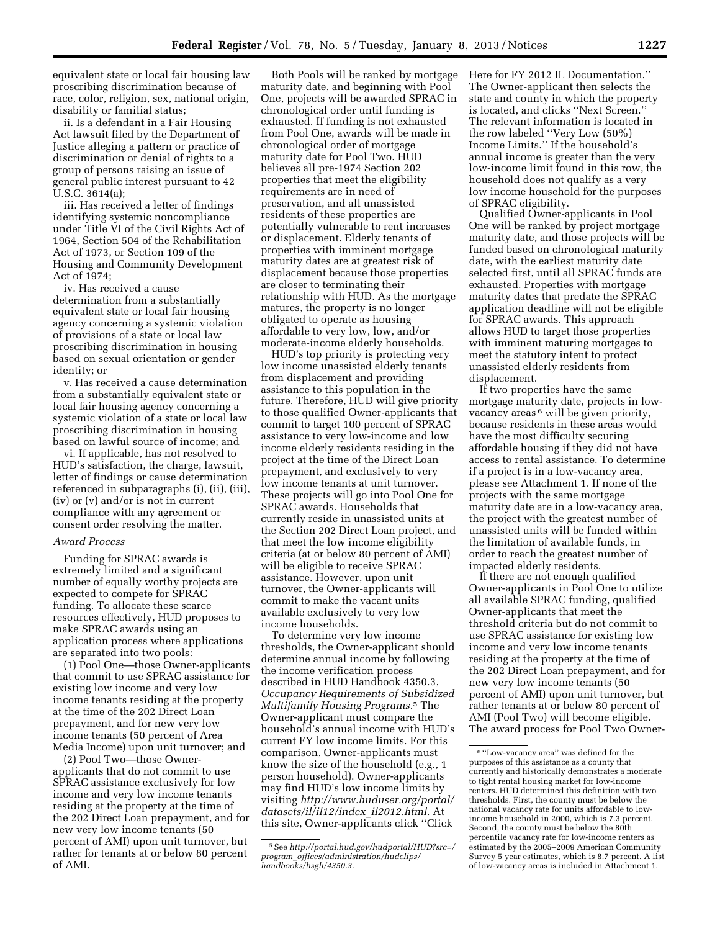equivalent state or local fair housing law proscribing discrimination because of race, color, religion, sex, national origin, disability or familial status;

ii. Is a defendant in a Fair Housing Act lawsuit filed by the Department of Justice alleging a pattern or practice of discrimination or denial of rights to a group of persons raising an issue of general public interest pursuant to 42 U.S.C. 3614(a);

iii. Has received a letter of findings identifying systemic noncompliance under Title VI of the Civil Rights Act of 1964, Section 504 of the Rehabilitation Act of 1973, or Section 109 of the Housing and Community Development Act of 1974;

iv. Has received a cause determination from a substantially equivalent state or local fair housing agency concerning a systemic violation of provisions of a state or local law proscribing discrimination in housing based on sexual orientation or gender identity; or

v. Has received a cause determination from a substantially equivalent state or local fair housing agency concerning a systemic violation of a state or local law proscribing discrimination in housing based on lawful source of income; and

vi. If applicable, has not resolved to HUD's satisfaction, the charge, lawsuit, letter of findings or cause determination referenced in subparagraphs (i), (ii), (iii), (iv) or (v) and/or is not in current compliance with any agreement or consent order resolving the matter.

#### *Award Process*

Funding for SPRAC awards is extremely limited and a significant number of equally worthy projects are expected to compete for SPRAC funding. To allocate these scarce resources effectively, HUD proposes to make SPRAC awards using an application process where applications are separated into two pools:

(1) Pool One—those Owner-applicants that commit to use SPRAC assistance for existing low income and very low income tenants residing at the property at the time of the 202 Direct Loan prepayment, and for new very low income tenants (50 percent of Area Media Income) upon unit turnover; and

(2) Pool Two—those Ownerapplicants that do not commit to use SPRAC assistance exclusively for low income and very low income tenants residing at the property at the time of the 202 Direct Loan prepayment, and for new very low income tenants (50 percent of AMI) upon unit turnover, but rather for tenants at or below 80 percent of AMI.

Both Pools will be ranked by mortgage maturity date, and beginning with Pool One, projects will be awarded SPRAC in chronological order until funding is exhausted. If funding is not exhausted from Pool One, awards will be made in chronological order of mortgage maturity date for Pool Two. HUD believes all pre-1974 Section 202 properties that meet the eligibility requirements are in need of preservation, and all unassisted residents of these properties are potentially vulnerable to rent increases or displacement. Elderly tenants of properties with imminent mortgage maturity dates are at greatest risk of displacement because those properties are closer to terminating their relationship with HUD. As the mortgage matures, the property is no longer obligated to operate as housing affordable to very low, low, and/or moderate-income elderly households.

HUD's top priority is protecting very low income unassisted elderly tenants from displacement and providing assistance to this population in the future. Therefore, HUD will give priority to those qualified Owner-applicants that commit to target 100 percent of SPRAC assistance to very low-income and low income elderly residents residing in the project at the time of the Direct Loan prepayment, and exclusively to very low income tenants at unit turnover. These projects will go into Pool One for SPRAC awards. Households that currently reside in unassisted units at the Section 202 Direct Loan project, and that meet the low income eligibility criteria (at or below 80 percent of AMI) will be eligible to receive SPRAC assistance. However, upon unit turnover, the Owner-applicants will commit to make the vacant units available exclusively to very low income households.

To determine very low income thresholds, the Owner-applicant should determine annual income by following the income verification process described in HUD Handbook 4350.3, *Occupancy Requirements of Subsidized Multifamily Housing Programs.*5 The Owner-applicant must compare the household's annual income with HUD's current FY low income limits. For this comparison, Owner-applicants must know the size of the household (e.g., 1 person household). Owner-applicants may find HUD's low income limits by visiting *[http://www.huduser.org/portal/](http://www.huduser.org/portal/datasets/il/il12/index_il2012.html) [datasets/il/il12/index](http://www.huduser.org/portal/datasets/il/il12/index_il2012.html)*\_*il2012.html.* At this site, Owner-applicants click ''Click

Here for FY 2012 IL Documentation.'' The Owner-applicant then selects the state and county in which the property is located, and clicks ''Next Screen.'' The relevant information is located in the row labeled ''Very Low (50%) Income Limits.'' If the household's annual income is greater than the very low-income limit found in this row, the household does not qualify as a very low income household for the purposes of SPRAC eligibility.

Qualified Owner-applicants in Pool One will be ranked by project mortgage maturity date, and those projects will be funded based on chronological maturity date, with the earliest maturity date selected first, until all SPRAC funds are exhausted. Properties with mortgage maturity dates that predate the SPRAC application deadline will not be eligible for SPRAC awards. This approach allows HUD to target those properties with imminent maturing mortgages to meet the statutory intent to protect unassisted elderly residents from displacement.

If two properties have the same mortgage maturity date, projects in lowvacancy areas 6 will be given priority, because residents in these areas would have the most difficulty securing affordable housing if they did not have access to rental assistance. To determine if a project is in a low-vacancy area, please see Attachment 1. If none of the projects with the same mortgage maturity date are in a low-vacancy area, the project with the greatest number of unassisted units will be funded within the limitation of available funds, in order to reach the greatest number of impacted elderly residents.

If there are not enough qualified Owner-applicants in Pool One to utilize all available SPRAC funding, qualified Owner-applicants that meet the threshold criteria but do not commit to use SPRAC assistance for existing low income and very low income tenants residing at the property at the time of the 202 Direct Loan prepayment, and for new very low income tenants (50 percent of AMI) upon unit turnover, but rather tenants at or below 80 percent of AMI (Pool Two) will become eligible. The award process for Pool Two Owner-

<sup>5</sup>See *[http://portal.hud.gov/hudportal/HUD?src=/](http://portal.hud.gov/hudportal/HUD?src=/program_offices/administration/hudclips/handbooks/hsgh/4350.3)  program*\_*[offices/administration/hudclips/](http://portal.hud.gov/hudportal/HUD?src=/program_offices/administration/hudclips/handbooks/hsgh/4350.3)  [handbooks/hsgh/4350.3.](http://portal.hud.gov/hudportal/HUD?src=/program_offices/administration/hudclips/handbooks/hsgh/4350.3)* 

<sup>6</sup> ''Low-vacancy area'' was defined for the purposes of this assistance as a county that currently and historically demonstrates a moderate to tight rental housing market for low-income renters. HUD determined this definition with two thresholds. First, the county must be below the national vacancy rate for units affordable to lowincome household in 2000, which is 7.3 percent. Second, the county must be below the 80th percentile vacancy rate for low-income renters as estimated by the 2005–2009 American Community Survey 5 year estimates, which is 8.7 percent. A list of low-vacancy areas is included in Attachment 1.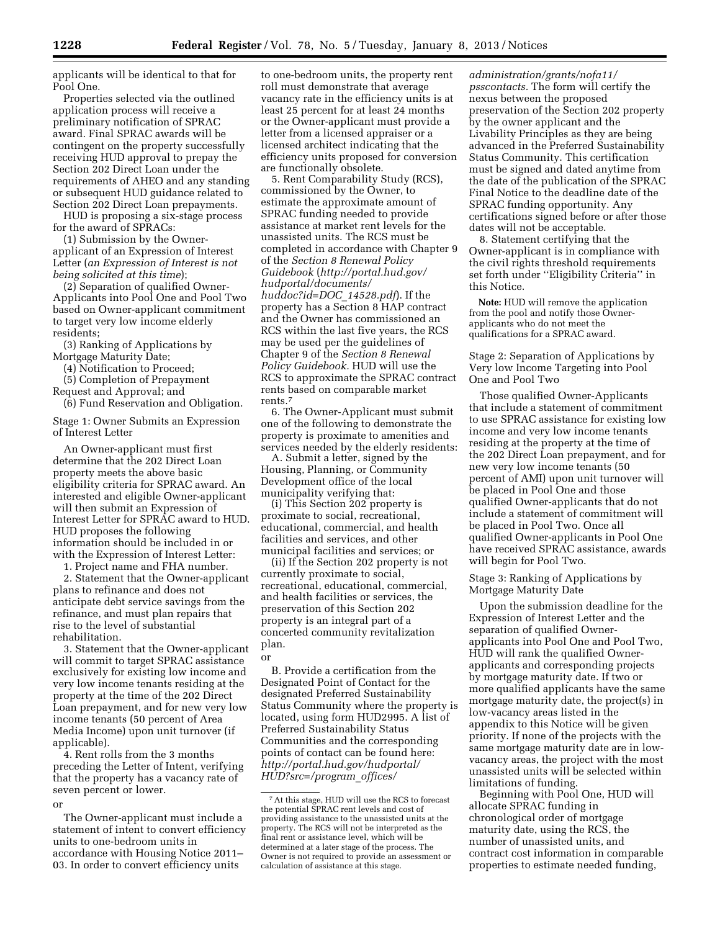applicants will be identical to that for Pool One.

Properties selected via the outlined application process will receive a preliminary notification of SPRAC award. Final SPRAC awards will be contingent on the property successfully receiving HUD approval to prepay the Section 202 Direct Loan under the requirements of AHEO and any standing or subsequent HUD guidance related to Section 202 Direct Loan prepayments.

HUD is proposing a six-stage process for the award of SPRACs:

(1) Submission by the Ownerapplicant of an Expression of Interest Letter (*an Expression of Interest is not being solicited at this time*);

(2) Separation of qualified Owner-Applicants into Pool One and Pool Two based on Owner-applicant commitment to target very low income elderly residents;

(3) Ranking of Applications by Mortgage Maturity Date;

(4) Notification to Proceed;

(5) Completion of Prepayment

Request and Approval; and (6) Fund Reservation and Obligation.

Stage 1: Owner Submits an Expression of Interest Letter

An Owner-applicant must first determine that the 202 Direct Loan property meets the above basic eligibility criteria for SPRAC award. An interested and eligible Owner-applicant will then submit an Expression of Interest Letter for SPRAC award to HUD. HUD proposes the following information should be included in or with the Expression of Interest Letter:

1. Project name and FHA number.

2. Statement that the Owner-applicant plans to refinance and does not anticipate debt service savings from the refinance, and must plan repairs that rise to the level of substantial rehabilitation.

3. Statement that the Owner-applicant will commit to target SPRAC assistance exclusively for existing low income and very low income tenants residing at the property at the time of the 202 Direct Loan prepayment, and for new very low income tenants (50 percent of Area Media Income) upon unit turnover (if applicable).

4. Rent rolls from the 3 months preceding the Letter of Intent, verifying that the property has a vacancy rate of seven percent or lower.

or

The Owner-applicant must include a statement of intent to convert efficiency units to one-bedroom units in accordance with Housing Notice 2011– 03. In order to convert efficiency units

to one-bedroom units, the property rent roll must demonstrate that average vacancy rate in the efficiency units is at least 25 percent for at least 24 months or the Owner-applicant must provide a letter from a licensed appraiser or a licensed architect indicating that the efficiency units proposed for conversion are functionally obsolete.

5. Rent Comparability Study (RCS), commissioned by the Owner, to estimate the approximate amount of SPRAC funding needed to provide assistance at market rent levels for the unassisted units. The RCS must be completed in accordance with Chapter 9 of the *Section 8 Renewal Policy Guidebook* (*[http://portal.hud.gov/](http://portal.hud.gov/hudportal/documents/huddoc?id=DOC_14528.pdf)  [hudportal/documents/](http://portal.hud.gov/hudportal/documents/huddoc?id=DOC_14528.pdf)  [huddoc?id=DOC](http://portal.hud.gov/hudportal/documents/huddoc?id=DOC_14528.pdf)*\_*14528.pdf*). If the property has a Section 8 HAP contract and the Owner has commissioned an RCS within the last five years, the RCS may be used per the guidelines of Chapter 9 of the *Section 8 Renewal Policy Guidebook.* HUD will use the RCS to approximate the SPRAC contract rents based on comparable market rents.7

6. The Owner-Applicant must submit one of the following to demonstrate the property is proximate to amenities and services needed by the elderly residents:

A. Submit a letter, signed by the Housing, Planning, or Community Development office of the local municipality verifying that:

(i) This Section 202 property is proximate to social, recreational, educational, commercial, and health facilities and services, and other municipal facilities and services; or

(ii) If the Section 202 property is not currently proximate to social, recreational, educational, commercial, and health facilities or services, the preservation of this Section 202 property is an integral part of a concerted community revitalization plan.

#### or

B. Provide a certification from the Designated Point of Contact for the designated Preferred Sustainability Status Community where the property is located, using form HUD2995. A list of Preferred Sustainability Status Communities and the corresponding points of contact can be found here: *[http://portal.hud.gov/hudportal/](http://portal.hud.gov/hudportal/HUD?src=/program_offices/administration/grants/nofa11/psscontacts) [HUD?src=/program](http://portal.hud.gov/hudportal/HUD?src=/program_offices/administration/grants/nofa11/psscontacts)*\_*offices/* 

*[administration/grants/nofa11/](http://portal.hud.gov/hudportal/HUD?src=/program_offices/administration/grants/nofa11/psscontacts) [psscontacts.](http://portal.hud.gov/hudportal/HUD?src=/program_offices/administration/grants/nofa11/psscontacts)* The form will certify the nexus between the proposed preservation of the Section 202 property by the owner applicant and the Livability Principles as they are being advanced in the Preferred Sustainability Status Community. This certification must be signed and dated anytime from the date of the publication of the SPRAC Final Notice to the deadline date of the SPRAC funding opportunity. Any certifications signed before or after those dates will not be acceptable.

8. Statement certifying that the Owner-applicant is in compliance with the civil rights threshold requirements set forth under ''Eligibility Criteria'' in this Notice.

**Note:** HUD will remove the application from the pool and notify those Ownerapplicants who do not meet the qualifications for a SPRAC award.

Stage 2: Separation of Applications by Very low Income Targeting into Pool One and Pool Two

Those qualified Owner-Applicants that include a statement of commitment to use SPRAC assistance for existing low income and very low income tenants residing at the property at the time of the 202 Direct Loan prepayment, and for new very low income tenants (50 percent of AMI) upon unit turnover will be placed in Pool One and those qualified Owner-applicants that do not include a statement of commitment will be placed in Pool Two. Once all qualified Owner-applicants in Pool One have received SPRAC assistance, awards will begin for Pool Two.

Stage 3: Ranking of Applications by Mortgage Maturity Date

Upon the submission deadline for the Expression of Interest Letter and the separation of qualified Ownerapplicants into Pool One and Pool Two, HUD will rank the qualified Ownerapplicants and corresponding projects by mortgage maturity date. If two or more qualified applicants have the same mortgage maturity date, the project(s) in low-vacancy areas listed in the appendix to this Notice will be given priority. If none of the projects with the same mortgage maturity date are in lowvacancy areas, the project with the most unassisted units will be selected within limitations of funding.

Beginning with Pool One, HUD will allocate SPRAC funding in chronological order of mortgage maturity date, using the RCS, the number of unassisted units, and contract cost information in comparable properties to estimate needed funding,

<sup>7</sup>At this stage, HUD will use the RCS to forecast the potential SPRAC rent levels and cost of providing assistance to the unassisted units at the property. The RCS will not be interpreted as the final rent or assistance level, which will be determined at a later stage of the process. The Owner is not required to provide an assessment or calculation of assistance at this stage.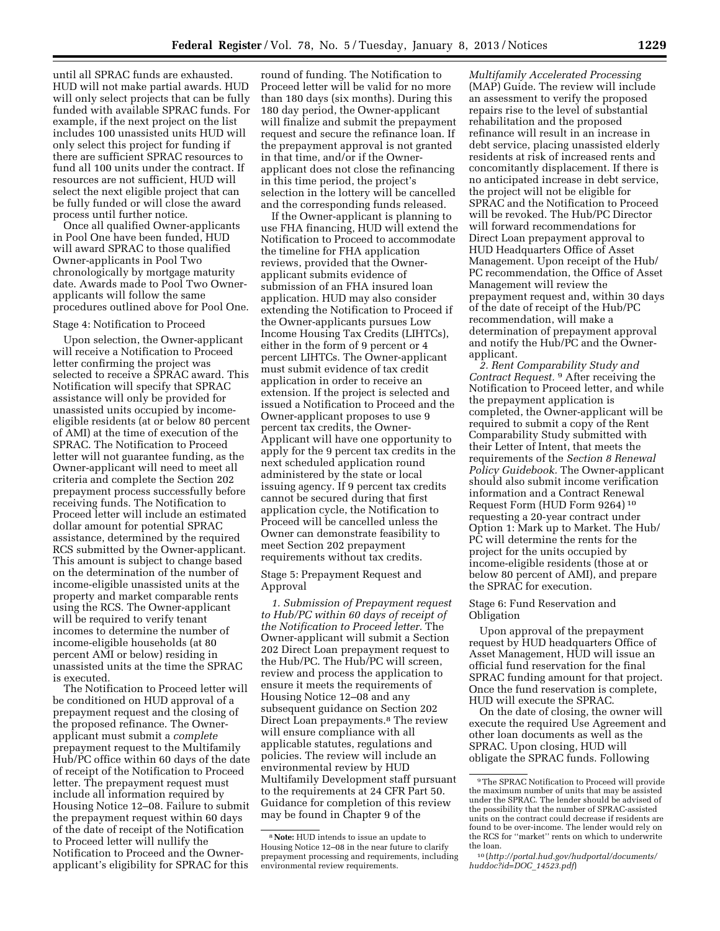until all SPRAC funds are exhausted. HUD will not make partial awards. HUD will only select projects that can be fully funded with available SPRAC funds. For example, if the next project on the list includes 100 unassisted units HUD will only select this project for funding if there are sufficient SPRAC resources to fund all 100 units under the contract. If resources are not sufficient, HUD will select the next eligible project that can be fully funded or will close the award process until further notice.

Once all qualified Owner-applicants in Pool One have been funded, HUD will award SPRAC to those qualified Owner-applicants in Pool Two chronologically by mortgage maturity date. Awards made to Pool Two Ownerapplicants will follow the same procedures outlined above for Pool One.

#### Stage 4: Notification to Proceed

Upon selection, the Owner-applicant will receive a Notification to Proceed letter confirming the project was selected to receive a SPRAC award. This Notification will specify that SPRAC assistance will only be provided for unassisted units occupied by incomeeligible residents (at or below 80 percent of AMI) at the time of execution of the SPRAC. The Notification to Proceed letter will not guarantee funding, as the Owner-applicant will need to meet all criteria and complete the Section 202 prepayment process successfully before receiving funds. The Notification to Proceed letter will include an estimated dollar amount for potential SPRAC assistance, determined by the required RCS submitted by the Owner-applicant. This amount is subject to change based on the determination of the number of income-eligible unassisted units at the property and market comparable rents using the RCS. The Owner-applicant will be required to verify tenant incomes to determine the number of income-eligible households (at 80 percent AMI or below) residing in unassisted units at the time the SPRAC is executed.

The Notification to Proceed letter will be conditioned on HUD approval of a prepayment request and the closing of the proposed refinance. The Ownerapplicant must submit a *complete*  prepayment request to the Multifamily Hub/PC office within 60 days of the date of receipt of the Notification to Proceed letter. The prepayment request must include all information required by Housing Notice 12–08. Failure to submit the prepayment request within 60 days of the date of receipt of the Notification to Proceed letter will nullify the Notification to Proceed and the Ownerapplicant's eligibility for SPRAC for this

round of funding. The Notification to Proceed letter will be valid for no more than 180 days (six months). During this 180 day period, the Owner-applicant will finalize and submit the prepayment request and secure the refinance loan. If the prepayment approval is not granted in that time, and/or if the Ownerapplicant does not close the refinancing in this time period, the project's selection in the lottery will be cancelled and the corresponding funds released.

If the Owner-applicant is planning to use FHA financing, HUD will extend the Notification to Proceed to accommodate the timeline for FHA application reviews, provided that the Ownerapplicant submits evidence of submission of an FHA insured loan application. HUD may also consider extending the Notification to Proceed if the Owner-applicants pursues Low Income Housing Tax Credits (LIHTCs), either in the form of 9 percent or 4 percent LIHTCs. The Owner-applicant must submit evidence of tax credit application in order to receive an extension. If the project is selected and issued a Notification to Proceed and the Owner-applicant proposes to use 9 percent tax credits, the Owner-Applicant will have one opportunity to apply for the 9 percent tax credits in the next scheduled application round administered by the state or local issuing agency. If 9 percent tax credits cannot be secured during that first application cycle, the Notification to Proceed will be cancelled unless the Owner can demonstrate feasibility to meet Section 202 prepayment requirements without tax credits.

### Stage 5: Prepayment Request and Approval

*1. Submission of Prepayment request to Hub/PC within 60 days of receipt of the Notification to Proceed letter.* The Owner-applicant will submit a Section 202 Direct Loan prepayment request to the Hub/PC. The Hub/PC will screen, review and process the application to ensure it meets the requirements of Housing Notice 12–08 and any subsequent guidance on Section 202 Direct Loan prepayments.8 The review will ensure compliance with all applicable statutes, regulations and policies. The review will include an environmental review by HUD Multifamily Development staff pursuant to the requirements at 24 CFR Part 50. Guidance for completion of this review may be found in Chapter 9 of the

*Multifamily Accelerated Processing*  (MAP) Guide. The review will include an assessment to verify the proposed repairs rise to the level of substantial rehabilitation and the proposed refinance will result in an increase in debt service, placing unassisted elderly residents at risk of increased rents and concomitantly displacement. If there is no anticipated increase in debt service, the project will not be eligible for SPRAC and the Notification to Proceed will be revoked. The Hub/PC Director will forward recommendations for Direct Loan prepayment approval to HUD Headquarters Office of Asset Management. Upon receipt of the Hub/ PC recommendation, the Office of Asset Management will review the prepayment request and, within 30 days of the date of receipt of the Hub/PC recommendation, will make a determination of prepayment approval and notify the Hub/PC and the Ownerapplicant.

*2. Rent Comparability Study and Contract Request.* 9 After receiving the Notification to Proceed letter, and while the prepayment application is completed, the Owner-applicant will be required to submit a copy of the Rent Comparability Study submitted with their Letter of Intent, that meets the requirements of the *Section 8 Renewal Policy Guidebook.* The Owner-applicant should also submit income verification information and a Contract Renewal Request Form (HUD Form 9264) 10 requesting a 20-year contract under Option 1: Mark up to Market. The Hub/ PC will determine the rents for the project for the units occupied by income-eligible residents (those at or below 80 percent of AMI), and prepare the SPRAC for execution.

#### Stage 6: Fund Reservation and Obligation

Upon approval of the prepayment request by HUD headquarters Office of Asset Management, HUD will issue an official fund reservation for the final SPRAC funding amount for that project. Once the fund reservation is complete, HUD will execute the SPRAC.

On the date of closing, the owner will execute the required Use Agreement and other loan documents as well as the SPRAC. Upon closing, HUD will obligate the SPRAC funds. Following

<sup>8</sup>**Note:** HUD intends to issue an update to Housing Notice 12–08 in the near future to clarify prepayment processing and requirements, including environmental review requirements.

<sup>9</sup>The SPRAC Notification to Proceed will provide the maximum number of units that may be assisted under the SPRAC. The lender should be advised of the possibility that the number of SPRAC-assisted units on the contract could decrease if residents are found to be over-income. The lender would rely on the RCS for ''market'' rents on which to underwrite the loan.

<sup>10</sup> (*[http://portal.hud.gov/hudportal/documents/](http://portal.hud.gov/hudportal/documents/huddoc?id=DOC_14523.pdf)  [huddoc?id=DOC](http://portal.hud.gov/hudportal/documents/huddoc?id=DOC_14523.pdf)*\_*14523.pdf*)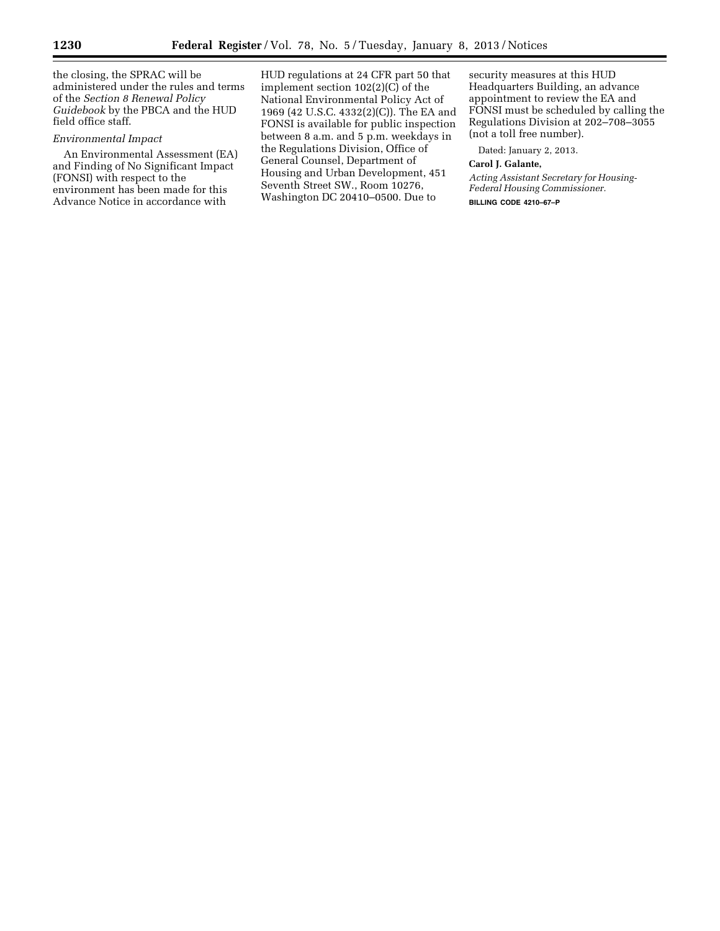the closing, the SPRAC will be administered under the rules and terms of the *Section 8 Renewal Policy Guidebook* by the PBCA and the HUD field office staff.

### *Environmental Impact*

An Environmental Assessment (EA) and Finding of No Significant Impact (FONSI) with respect to the environment has been made for this Advance Notice in accordance with

HUD regulations at 24 CFR part 50 that implement section 102(2)(C) of the National Environmental Policy Act of 1969 (42 U.S.C. 4332(2)(C)). The EA and FONSI is available for public inspection between 8 a.m. and 5 p.m. weekdays in the Regulations Division, Office of General Counsel, Department of Housing and Urban Development, 451 Seventh Street SW., Room 10276, Washington DC 20410–0500. Due to

security measures at this HUD Headquarters Building, an advance appointment to review the EA and FONSI must be scheduled by calling the Regulations Division at 202–708–3055 (not a toll free number).

Dated: January 2, 2013.

### **Carol J. Galante,**

*Acting Assistant Secretary for Housing-Federal Housing Commissioner.*  **BILLING CODE 4210–67–P**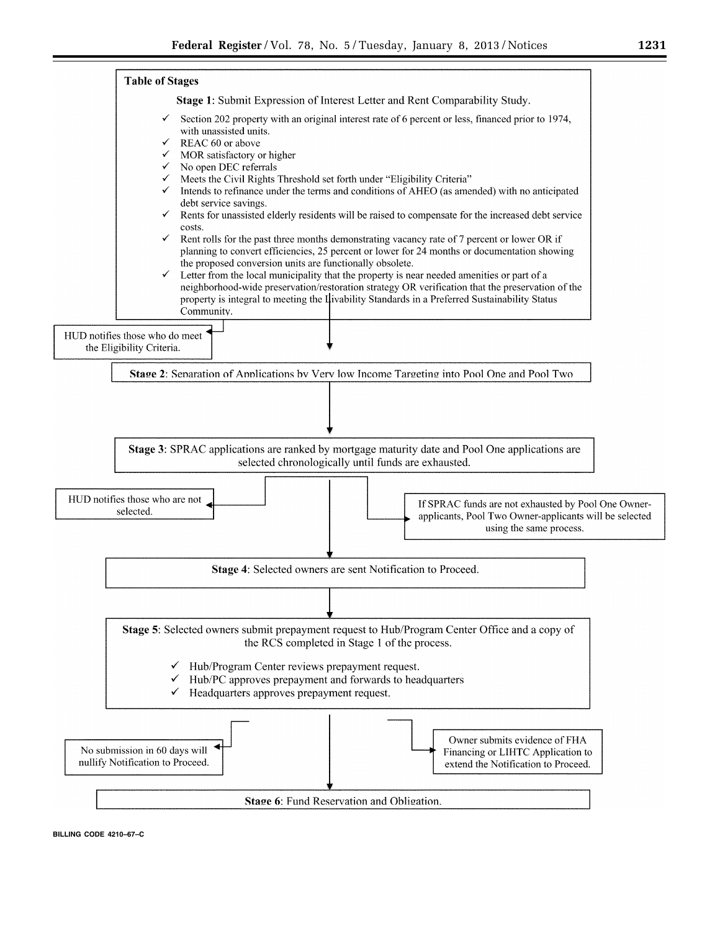



**BILLING CODE 4210–67–C**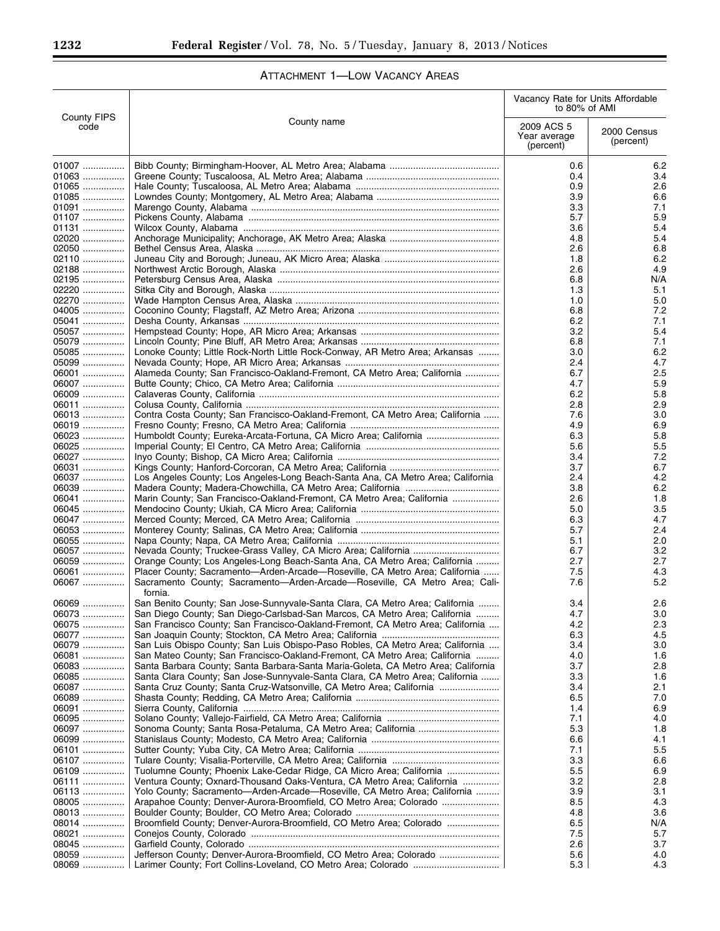# ATTACHMENT 1—LOW VACANCY AREAS

|                            |                                                                                                                                                                 | Vacancy Rate for Units Affordable<br>to 80% of AMI |                          |
|----------------------------|-----------------------------------------------------------------------------------------------------------------------------------------------------------------|----------------------------------------------------|--------------------------|
| <b>County FIPS</b><br>code | County name                                                                                                                                                     | 2009 ACS 5<br>Year average<br>(percent)            | 2000 Census<br>(percent) |
| 01007                      |                                                                                                                                                                 | 0.6                                                | 6.2                      |
| 01063                      |                                                                                                                                                                 | 0.4                                                | 3.4                      |
| 01065                      |                                                                                                                                                                 | 0.9                                                | 2.6                      |
| 01085                      |                                                                                                                                                                 | 3.9                                                | 6.6                      |
| 01091                      |                                                                                                                                                                 | 3.3                                                | 7.1                      |
| 01107                      |                                                                                                                                                                 | 5.7                                                | 5.9                      |
| 01131                      |                                                                                                                                                                 | 3.6                                                | 5.4                      |
| 02020<br>02050             |                                                                                                                                                                 | 4.8<br>2.6                                         | 5.4<br>6.8               |
| 02110                      |                                                                                                                                                                 | 1.8                                                | 6.2                      |
| 02188                      |                                                                                                                                                                 | 2.6                                                | 4.9                      |
| 02195                      |                                                                                                                                                                 | 6.8                                                | N/A                      |
| 02220                      |                                                                                                                                                                 | 1.3                                                | 5.1                      |
| 02270                      |                                                                                                                                                                 | 1.0                                                | 5.0                      |
| 04005                      |                                                                                                                                                                 | 6.8                                                | 7.2                      |
| 05041                      |                                                                                                                                                                 | 6.2                                                | 7.1                      |
| 05057                      |                                                                                                                                                                 | 3.2                                                | 5.4                      |
| 05079                      |                                                                                                                                                                 | 6.8                                                | 7.1                      |
| 05085<br>05099             | Lonoke County; Little Rock-North Little Rock-Conway, AR Metro Area; Arkansas                                                                                    | 3.0<br>2.4                                         | 6.2<br>4.7               |
| 06001                      | Alameda County; San Francisco-Oakland-Fremont, CA Metro Area; California                                                                                        | 6.7                                                | 2.5                      |
| 06007                      |                                                                                                                                                                 | 4.7                                                | 5.9                      |
| 06009                      |                                                                                                                                                                 | 6.2                                                | 5.8                      |
| 06011                      |                                                                                                                                                                 | 2.8                                                | 2.9                      |
| 06013                      | Contra Costa County; San Francisco-Oakland-Fremont, CA Metro Area; California                                                                                   | 7.6                                                | 3.0                      |
| 06019                      |                                                                                                                                                                 | 4.9                                                | 6.9                      |
| 06023                      | Humboldt County; Eureka-Arcata-Fortuna, CA Micro Area; California                                                                                               | 6.3                                                | 5.8                      |
| 06025                      |                                                                                                                                                                 | 5.6                                                | 5.5                      |
| 06027                      |                                                                                                                                                                 | 3.4                                                | 7.2                      |
| 06031<br>06037             | Los Angeles County; Los Angeles-Long Beach-Santa Ana, CA Metro Area; California                                                                                 | 3.7<br>2.4                                         | 6.7<br>4.2               |
| 06039                      |                                                                                                                                                                 | 3.8                                                | 6.2                      |
| 06041                      | Marin County; San Francisco-Oakland-Fremont, CA Metro Area; California                                                                                          | 2.6                                                | 1.8                      |
| 06045                      |                                                                                                                                                                 | 5.0                                                | 3.5                      |
| 06047                      |                                                                                                                                                                 | 6.3                                                | 4.7                      |
| 06053                      |                                                                                                                                                                 | 5.7                                                | 2.4                      |
| 06055                      |                                                                                                                                                                 | 5.1                                                | 2.0                      |
| 06057                      |                                                                                                                                                                 | 6.7                                                | 3.2                      |
| 06059<br>06061             | Orange County; Los Angeles-Long Beach-Santa Ana, CA Metro Area; California<br>Placer County; Sacramento-Arden-Arcade-Roseville, CA Metro Area; California       | 2.7<br>7.5                                         | 2.7<br>4.3               |
| 06067                      | Sacramento County; Sacramento-Arden-Arcade-Roseville, CA Metro Area; Cali-                                                                                      | 7.6                                                | 5.2                      |
|                            | fornia.                                                                                                                                                         |                                                    |                          |
| 06069                      | San Benito County; San Jose-Sunnyvale-Santa Clara, CA Metro Area; California                                                                                    | 3.4                                                | 2.6                      |
| 06073.                     | San Diego County; San Diego-Carlsbad-San Marcos, CA Metro Area; California                                                                                      | 4.7                                                | 3.0                      |
| 06075                      | San Francisco County; San Francisco-Oakland-Fremont, CA Metro Area; California                                                                                  | 4.2                                                | 2.3                      |
| 06077                      |                                                                                                                                                                 | 6.3                                                | 4.5                      |
| 06079<br>06081             | San Luis Obispo County; San Luis Obispo-Paso Robles, CA Metro Area; California                                                                                  | 3.4<br>4.0                                         | 3.0                      |
| 06083                      | San Mateo County; San Francisco-Oakland-Fremont, CA Metro Area; California<br>Santa Barbara County; Santa Barbara-Santa Maria-Goleta, CA Metro Area; California | 3.7                                                | 1.6<br>2.8               |
| 06085                      | Santa Clara County; San Jose-Sunnyvale-Santa Clara, CA Metro Area; California                                                                                   | 3.3                                                | 1.6                      |
| 06087                      | Santa Cruz County; Santa Cruz-Watsonville, CA Metro Area; California                                                                                            | 3.4                                                | 2.1                      |
| 06089                      |                                                                                                                                                                 | 6.5                                                | 7.0                      |
| 06091                      |                                                                                                                                                                 | 1.4                                                | 6.9                      |
| 06095                      |                                                                                                                                                                 | 7.1                                                | 4.0                      |
| 06097                      |                                                                                                                                                                 | 5.3                                                | 1.8                      |
| 06099                      |                                                                                                                                                                 | 6.6                                                | 4.1                      |
| 06101<br>06107             |                                                                                                                                                                 | 7.1<br>3.3                                         | 5.5<br>6.6               |
| 06109                      | Tuolumne County; Phoenix Lake-Cedar Ridge, CA Micro Area; California                                                                                            | 5.5                                                | 6.9                      |
| 06111                      | Ventura County; Oxnard-Thousand Oaks-Ventura, CA Metro Area; California                                                                                         | 3.2                                                | 2.8                      |
| 06113                      | Yolo County; Sacramento-Arden-Arcade-Roseville, CA Metro Area; California                                                                                       | 3.9                                                | 3.1                      |
| 08005                      | Arapahoe County; Denver-Aurora-Broomfield, CO Metro Area; Colorado                                                                                              | 8.5                                                | 4.3                      |
| 08013                      |                                                                                                                                                                 | 4.8                                                | 3.6                      |
| 08014                      | Broomfield County; Denver-Aurora-Broomfield, CO Metro Area; Colorado                                                                                            | 6.5                                                | N/A                      |
| 08021                      |                                                                                                                                                                 | 7.5                                                | 5.7                      |
| 08045<br>08059             | Jefferson County; Denver-Aurora-Broomfield, CO Metro Area; Colorado                                                                                             | 2.6<br>5.6                                         | 3.7<br>4.0               |
| 08069                      |                                                                                                                                                                 | 5.3                                                | 4.3                      |
|                            |                                                                                                                                                                 |                                                    |                          |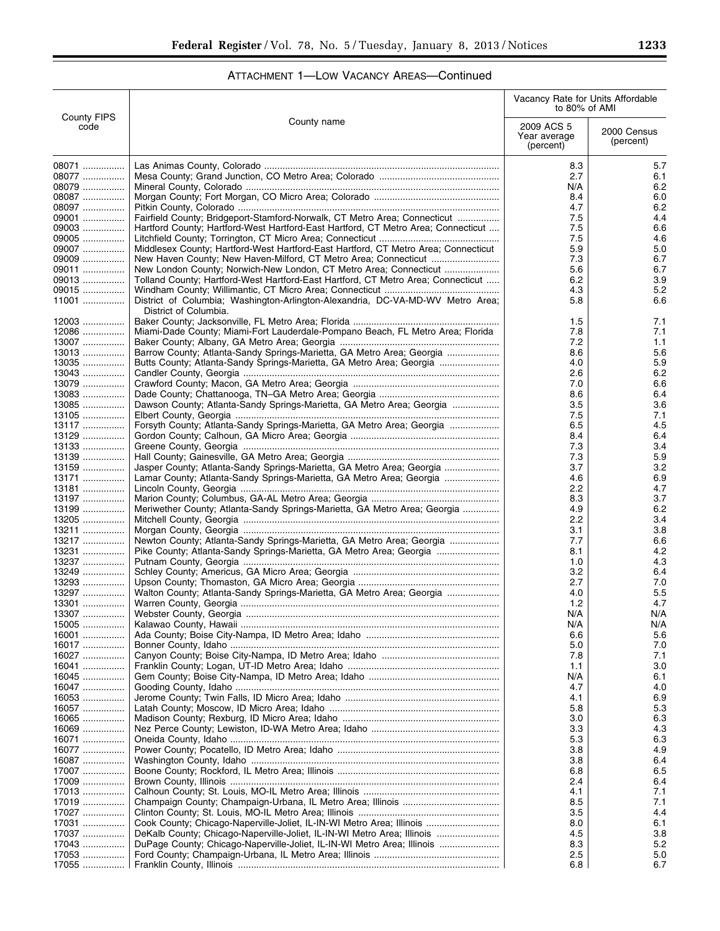| ATTACHMENT 1-LOW VACANCY AREAS-Continued |  |  |  |
|------------------------------------------|--|--|--|
|------------------------------------------|--|--|--|

|                            |                                                                                                                                                  | Vacancy Rate for Units Affordable<br>to 80% of AMI |                          |
|----------------------------|--------------------------------------------------------------------------------------------------------------------------------------------------|----------------------------------------------------|--------------------------|
| <b>County FIPS</b><br>code | County name                                                                                                                                      | 2009 ACS 5<br>Year average<br>(percent)            | 2000 Census<br>(percent) |
| 08071                      |                                                                                                                                                  | 8.3                                                | 5.7                      |
| 08077                      |                                                                                                                                                  | 2.7                                                | 6.1                      |
| 08079<br>08087             |                                                                                                                                                  | N/A<br>8.4                                         | 6.2<br>6.0               |
| 08097                      |                                                                                                                                                  | 4.7                                                | 6.2                      |
| 09001                      | Fairfield County; Bridgeport-Stamford-Norwalk, CT Metro Area; Connecticut                                                                        | 7.5                                                | 4.4                      |
| 09003                      | Hartford County; Hartford-West Hartford-East Hartford, CT Metro Area; Connecticut                                                                | 7.5                                                | 6.6                      |
| 09005<br>09007             | Middlesex County; Hartford-West Hartford-East Hartford, CT Metro Area; Connecticut                                                               | 7.5<br>5.9                                         | 4.6<br>5.0               |
| 09009                      |                                                                                                                                                  | 7.3                                                | 6.7                      |
| 09011                      | New London County; Norwich-New London, CT Metro Area; Connecticut                                                                                | 5.6                                                | 6.7                      |
| 09013                      | Tolland County; Hartford-West Hartford-East Hartford, CT Metro Area; Connecticut                                                                 | 6.2                                                | 3.9                      |
| 09015<br>11001             | District of Columbia; Washington-Arlington-Alexandria, DC-VA-MD-WV Metro Area;                                                                   | 4.3<br>5.8                                         | 5.2<br>6.6               |
|                            | District of Columbia.                                                                                                                            |                                                    |                          |
| 12003                      |                                                                                                                                                  | 1.5                                                | 7.1                      |
| $12086$<br>13007           | Miami-Dade County; Miami-Fort Lauderdale-Pompano Beach, FL Metro Area; Florida                                                                   | 7.8<br>7.2                                         | 7.1                      |
| $13013$                    | Barrow County; Atlanta-Sandy Springs-Marietta, GA Metro Area; Georgia                                                                            | 8.6                                                | 1.1<br>5.6               |
| $13035$                    | Butts County; Atlanta-Sandy Springs-Marietta, GA Metro Area; Georgia                                                                             | 4.0                                                | 5.9                      |
| 13043                      |                                                                                                                                                  | 2.6                                                | 6.2                      |
| 13079                      |                                                                                                                                                  | 7.0                                                | 6.6                      |
| 13083                      |                                                                                                                                                  | 8.6                                                | 6.4                      |
| 13085<br>13105             | Dawson County; Atlanta-Sandy Springs-Marietta, GA Metro Area; Georgia                                                                            | 3.5<br>7.5                                         | 3.6<br>7.1               |
| 13117                      | Forsyth County; Atlanta-Sandy Springs-Marietta, GA Metro Area; Georgia                                                                           | 6.5                                                | 4.5                      |
| 13129                      |                                                                                                                                                  | 8.4                                                | 6.4                      |
| 13133                      |                                                                                                                                                  | 7.3                                                | 3.4                      |
| 13139                      |                                                                                                                                                  | 7.3                                                | 5.9                      |
| 13159<br>13171             | Jasper County; Atlanta-Sandy Springs-Marietta, GA Metro Area; Georgia<br>Lamar County; Atlanta-Sandy Springs-Marietta, GA Metro Area; Georgia    | 3.7<br>4.6                                         | 3.2<br>6.9               |
| 13181                      |                                                                                                                                                  | 2.2                                                | 4.7                      |
| 13197                      |                                                                                                                                                  | 8.3                                                | 3.7                      |
| 13199                      | Meriwether County; Atlanta-Sandy Springs-Marietta, GA Metro Area; Georgia                                                                        | 4.9                                                | 6.2                      |
| 13205                      |                                                                                                                                                  | 2.2                                                | 3.4                      |
| 13211<br>13217             | Newton County; Atlanta-Sandy Springs-Marietta, GA Metro Area; Georgia                                                                            | 3.1<br>7.7                                         | 3.8<br>6.6               |
| 13231                      | Pike County; Atlanta-Sandy Springs-Marietta, GA Metro Area; Georgia                                                                              | 8.1                                                | 4.2                      |
| 13237                      |                                                                                                                                                  | 1.0                                                | 4.3                      |
| 13249                      |                                                                                                                                                  | 3.2                                                | 6.4                      |
| 13293                      | Walton County; Atlanta-Sandy Springs-Marietta, GA Metro Area; Georgia                                                                            | 2.7                                                | 7.0<br>5.5               |
| 13297<br>13301             |                                                                                                                                                  | 4.0<br>1.2                                         | 4.7                      |
| 13307                      |                                                                                                                                                  | N/A                                                | N/A                      |
| 15005                      |                                                                                                                                                  | N/A                                                | N/A                      |
| 16001                      |                                                                                                                                                  | 6.6                                                | 5.6                      |
| 16017<br>16027             |                                                                                                                                                  | 5.0<br>7.8                                         | 7.0<br>7.1               |
| $16041$                    |                                                                                                                                                  | 1.1                                                | 3.0                      |
| 16045                      |                                                                                                                                                  | N/A                                                | 6.1                      |
| 16047                      |                                                                                                                                                  | 4.7                                                | 4.0                      |
| 16053<br>16057             |                                                                                                                                                  | 4.1<br>5.8                                         | 6.9<br>5.3               |
| 16065                      |                                                                                                                                                  | 3.0                                                | 6.3                      |
| 16069                      |                                                                                                                                                  | 3.3                                                | 4.3                      |
| 16071                      |                                                                                                                                                  | 5.3                                                | 6.3                      |
| 16077                      |                                                                                                                                                  | 3.8                                                | 4.9                      |
| 16087<br>17007             |                                                                                                                                                  | 3.8<br>6.8                                         | 6.4<br>6.5               |
| 17009                      |                                                                                                                                                  | 2.4                                                | 6.4                      |
| 17013                      |                                                                                                                                                  | 4.1                                                | 7.1                      |
| 17019                      |                                                                                                                                                  | 8.5                                                | 7.1                      |
| 17027                      |                                                                                                                                                  | 3.5                                                | 4.4                      |
| 17031<br>17037             | Cook County; Chicago-Naperville-Joliet, IL-IN-WI Metro Area; Illinois<br>DeKalb County; Chicago-Naperville-Joliet, IL-IN-WI Metro Area; Illinois | 8.0<br>4.5                                         | 6.1<br>3.8               |
| 17043                      | DuPage County; Chicago-Naperville-Joliet, IL-IN-WI Metro Area; Illinois                                                                          | 8.3                                                | 5.2                      |
| 17053                      |                                                                                                                                                  | 2.5                                                | 5.0                      |
| 17055                      |                                                                                                                                                  | 6.8                                                | 6.7                      |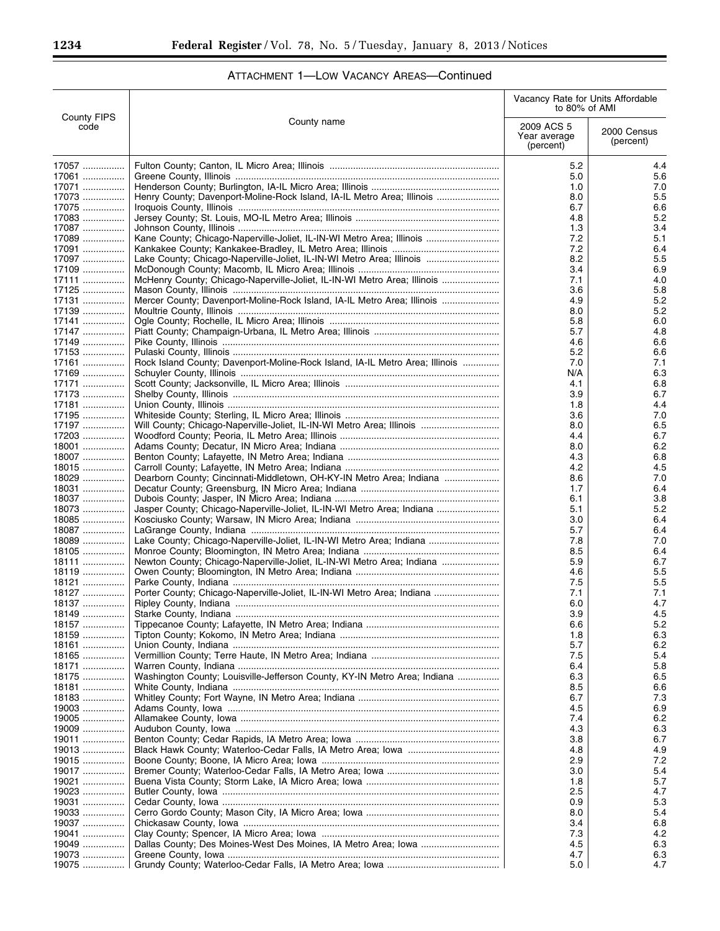-

|                  | <b>County FIPS</b><br>County name<br>code                                    | Vacancy Rate for Units Affordable<br>to 80% of AMI |                          |
|------------------|------------------------------------------------------------------------------|----------------------------------------------------|--------------------------|
|                  |                                                                              | 2009 ACS 5<br>Year average<br>(percent)            | 2000 Census<br>(percent) |
| 17057            |                                                                              | 5.2                                                | 4.4                      |
| 17061            |                                                                              | 5.0                                                | 5.6                      |
| 17071            |                                                                              | 1.0                                                | 7.0                      |
| 17073            | Henry County; Davenport-Moline-Rock Island, IA-IL Metro Area; Illinois       | 8.0                                                | 5.5                      |
| 17075<br>17083   |                                                                              | 6.7<br>4.8                                         | 6.6<br>5.2               |
| $17087$          |                                                                              | 1.3                                                | 3.4                      |
| 17089            | Kane County; Chicago-Naperville-Joliet, IL-IN-WI Metro Area; Illinois        | 7.2                                                | 5.1                      |
| 17091            |                                                                              | 7.2                                                | 6.4                      |
| 17097            | Lake County; Chicago-Naperville-Joliet, IL-IN-WI Metro Area; Illinois        | 8.2                                                | 5.5                      |
| 17109            |                                                                              | 3.4                                                | 6.9                      |
| 17111            | McHenry County; Chicago-Naperville-Joliet, IL-IN-WI Metro Area; Illinois     | 7.1                                                | 4.0                      |
| $17125$<br>17131 | Mercer County; Davenport-Moline-Rock Island, IA-IL Metro Area; Illinois      | 3.6<br>4.9                                         | 5.8<br>5.2               |
| 17139            |                                                                              | 8.0                                                | 5.2                      |
| $17141$          |                                                                              | 5.8                                                | 6.0                      |
| 17147            |                                                                              | 5.7                                                | 4.8                      |
| 17149            |                                                                              | 4.6                                                | 6.6                      |
| 17153            |                                                                              | 5.2                                                | 6.6                      |
| 17161            | Rock Island County; Davenport-Moline-Rock Island, IA-IL Metro Area; Illinois | 7.0                                                | 7.1                      |
| 17169<br>17171   |                                                                              | N/A<br>4.1                                         | 6.3                      |
| 17173            |                                                                              | 3.9                                                | 6.8<br>6.7               |
| 17181            |                                                                              | 1.8                                                | 4.4                      |
| 17195            |                                                                              | 3.6                                                | 7.0                      |
| 17197            | Will County; Chicago-Naperville-Joliet, IL-IN-WI Metro Area; Illinois        | 8.0                                                | 6.5                      |
| 17203            |                                                                              | 4.4                                                | 6.7                      |
| 18001            |                                                                              | 8.0                                                | 6.2                      |
| 18007            |                                                                              | 4.3                                                | 6.8                      |
| $18015$          | Dearborn County; Cincinnati-Middletown, OH-KY-IN Metro Area; Indiana         | 4.2                                                | 4.5<br>7.0               |
| 18029<br>18031   |                                                                              | 8.6<br>1.7                                         | 6.4                      |
| 18037            |                                                                              | 6.1                                                | 3.8                      |
| 18073            | Jasper County; Chicago-Naperville-Joliet, IL-IN-WI Metro Area; Indiana       | 5.1                                                | 5.2                      |
| 18085            |                                                                              | 3.0                                                | 6.4                      |
| 18087            |                                                                              | 5.7                                                | 6.4                      |
| 18089            | Lake County; Chicago-Naperville-Joliet, IL-IN-WI Metro Area; Indiana         | 7.8                                                | 7.0                      |
| $18105$          |                                                                              | 8.5                                                | 6.4                      |
| 18111<br>18119   | Newton County; Chicago-Naperville-Joliet, IL-IN-WI Metro Area; Indiana       | 5.9<br>4.6                                         | 6.7<br>5.5               |
| 18121            |                                                                              | 7.5                                                | 5.5                      |
| 18127            | Porter County; Chicago-Naperville-Joliet, IL-IN-WI Metro Area; Indiana       | 7.1                                                | 7.1                      |
| 18137            |                                                                              | 6.0                                                | 4.7                      |
| 18149            |                                                                              | 3.9                                                | 4.5                      |
| 18157            |                                                                              | 6.6                                                | 5.2                      |
| 18159            |                                                                              | 1.8                                                | 6.3                      |
| 18161<br>$18165$ |                                                                              | 5.7<br>7.5                                         | 6.2<br>5.4               |
| 18171            |                                                                              | 6.4                                                | 5.8                      |
| 18175            | Washington County; Louisville-Jefferson County, KY-IN Metro Area; Indiana    | 6.3                                                | 6.5                      |
| 18181            |                                                                              | 8.5                                                | 6.6                      |
| 18183            |                                                                              | 6.7                                                | 7.3                      |
| 19003            |                                                                              | 4.5                                                | 6.9                      |
| 19005            |                                                                              | 7.4                                                | 6.2                      |
| 19009            |                                                                              | 4.3<br>3.8                                         | 6.3<br>6.7               |
| 19011<br>19013   |                                                                              | 4.8                                                | 4.9                      |
| 19015            |                                                                              | 2.9                                                | 7.2                      |
| 19017            |                                                                              | 3.0                                                | 5.4                      |
| 19021            |                                                                              | 1.8                                                | 5.7                      |
| 19023            |                                                                              | 2.5                                                | 4.7                      |
| 19031            |                                                                              | 0.9                                                | 5.3                      |
| 19033            |                                                                              | 8.0                                                | 5.4                      |
| 19037<br>19041   |                                                                              | 3.4<br>7.3                                         | 6.8<br>4.2               |
| 19049            |                                                                              | 4.5                                                | 6.3                      |
| 19073            |                                                                              | 4.7                                                | 6.3                      |
| 19075            |                                                                              | 5.0                                                | 4.7                      |

# ATTACHMENT 1—LOW VACANCY AREAS—Continued

۰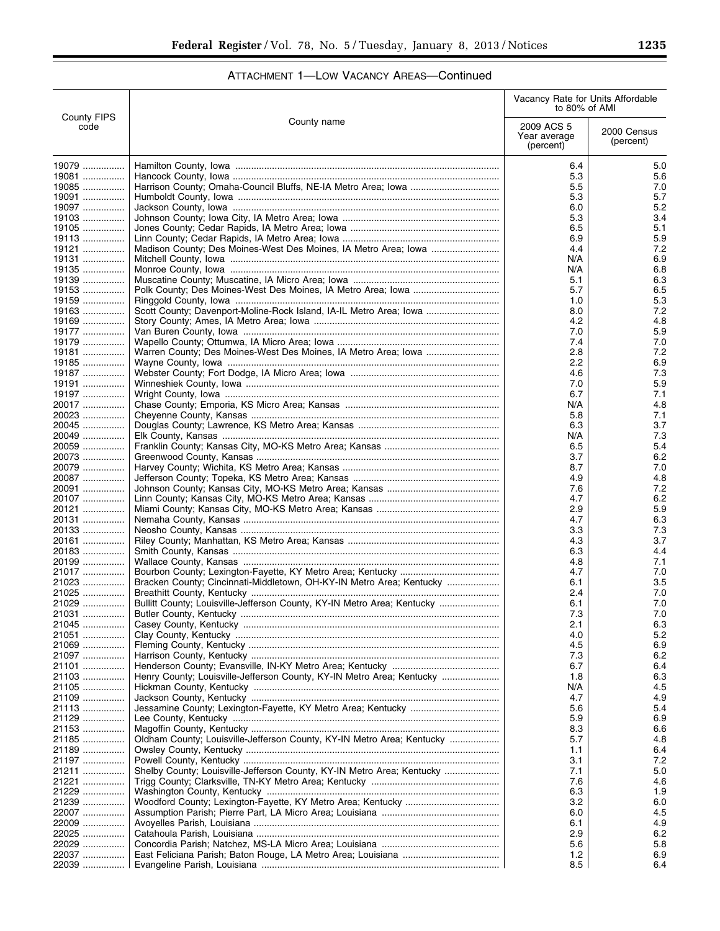| ATTACHMENT 1-LOW VACANCY AREAS-Continued |
|------------------------------------------|
|------------------------------------------|

|                            |                                                                         | Vacancy Rate for Units Affordable<br>to 80% of AMI |                          |
|----------------------------|-------------------------------------------------------------------------|----------------------------------------------------|--------------------------|
| <b>County FIPS</b><br>code | County name                                                             | 2009 ACS 5<br>Year average<br>(percent)            | 2000 Census<br>(percent) |
| 19079                      |                                                                         | 6.4                                                | 5.0                      |
| 19081                      |                                                                         | 5.3                                                | 5.6                      |
| 19085<br>19091             |                                                                         | 5.5<br>5.3                                         | 7.0<br>5.7               |
| 19097                      |                                                                         | 6.0                                                | 5.2                      |
| 19103                      |                                                                         | 5.3                                                | 3.4                      |
| $19105$                    |                                                                         | 6.5                                                | 5.1                      |
| 19113                      |                                                                         | 6.9                                                | 5.9                      |
| 19121<br>19131             |                                                                         | 4.4<br>N/A                                         | 7.2<br>6.9               |
| 19135                      |                                                                         | N/A                                                | 6.8                      |
| 19139                      |                                                                         | 5.1                                                | 6.3                      |
| 19153                      |                                                                         | 5.7                                                | 6.5                      |
| 19159                      |                                                                         | 1.0                                                | 5.3                      |
| 19163<br>19169             | Scott County; Davenport-Moline-Rock Island, IA-IL Metro Area; lowa      | 8.0<br>4.2                                         | 7.2<br>4.8               |
| 19177                      |                                                                         | 7.0                                                | 5.9                      |
| 19179                      |                                                                         | 7.4                                                | 7.0                      |
| 19181                      |                                                                         | 2.8                                                | 7.2                      |
| 19185                      |                                                                         | 2.2                                                | 6.9                      |
| 19187                      |                                                                         | 4.6                                                | 7.3                      |
| 19191<br>19197             |                                                                         | 7.0<br>6.7                                         | 5.9<br>7.1               |
| 20017                      |                                                                         | N/A                                                | 4.8                      |
| 20023                      |                                                                         | 5.8                                                | 7.1                      |
| 20045                      |                                                                         | 6.3                                                | 3.7                      |
| 20049                      |                                                                         | N/A                                                | 7.3                      |
| 20059                      |                                                                         | 6.5                                                | 5.4                      |
| 20073<br>20079             |                                                                         | 3.7<br>8.7                                         | 6.2<br>7.0               |
| 20087                      |                                                                         | 4.9                                                | 4.8                      |
| 20091                      |                                                                         | 7.6                                                | 7.2                      |
| 20107                      |                                                                         | 4.7                                                | 6.2                      |
| 20121                      |                                                                         | 2.9                                                | 5.9                      |
| 20131                      |                                                                         | 4.7                                                | 6.3                      |
| 20133<br>20161             |                                                                         | 3.3<br>4.3                                         | 7.3<br>3.7               |
| 20183                      |                                                                         | 6.3                                                | 4.4                      |
| 20199                      |                                                                         | 4.8                                                | 7.1                      |
| 21017                      |                                                                         | 4.7                                                | 7.0                      |
| 21023                      | Bracken County; Cincinnati-Middletown, OH-KY-IN Metro Area; Kentucky    | 6.1                                                | 3.5                      |
| 21025<br>21029             |                                                                         | 2.4                                                | 7.0                      |
| 21031                      | Bullitt County; Louisville-Jefferson County, KY-IN Metro Area; Kentucky | 6.1<br>7.3                                         | 7.0<br>7.0               |
| 21045                      |                                                                         | 2.1                                                | 6.3                      |
| 21051                      |                                                                         | 4.0                                                | 5.2                      |
| 21069                      |                                                                         | 4.5                                                | 6.9                      |
| 21097                      |                                                                         | 7.3                                                | 6.2                      |
| 21101<br>21103             | Henry County; Louisville-Jefferson County, KY-IN Metro Area; Kentucky   | 6.7<br>1.8                                         | 6.4<br>6.3               |
| 21105                      |                                                                         | N/A                                                | 4.5                      |
| 21109                      |                                                                         | 4.7                                                | 4.9                      |
| 21113                      |                                                                         | 5.6                                                | 5.4                      |
| 21129                      |                                                                         | 5.9                                                | 6.9                      |
| 21153                      |                                                                         | 8.3                                                | 6.6                      |
| 21185<br>21189             | Oldham County; Louisville-Jefferson County, KY-IN Metro Area; Kentucky  | 5.7                                                | 4.8<br>6.4               |
| 21197                      |                                                                         | 1.1<br>3.1                                         | 7.2                      |
| 21211                      | Shelby County; Louisville-Jefferson County, KY-IN Metro Area; Kentucky  | 7.1                                                | 5.0                      |
| 21221                      |                                                                         | 7.6                                                | 4.6                      |
| 21229                      |                                                                         | 6.3                                                | 1.9                      |
| 21239                      |                                                                         | 3.2                                                | 6.0                      |
| 22007                      |                                                                         | 6.0                                                | 4.5                      |
| 22009<br>22025             |                                                                         | 6.1<br>2.9                                         | 4.9<br>6.2               |
| 22029                      |                                                                         | 5.6                                                | 5.8                      |
| 22037                      |                                                                         | 1.2                                                | 6.9                      |
| 22039                      |                                                                         | 8.5                                                | 6.4                      |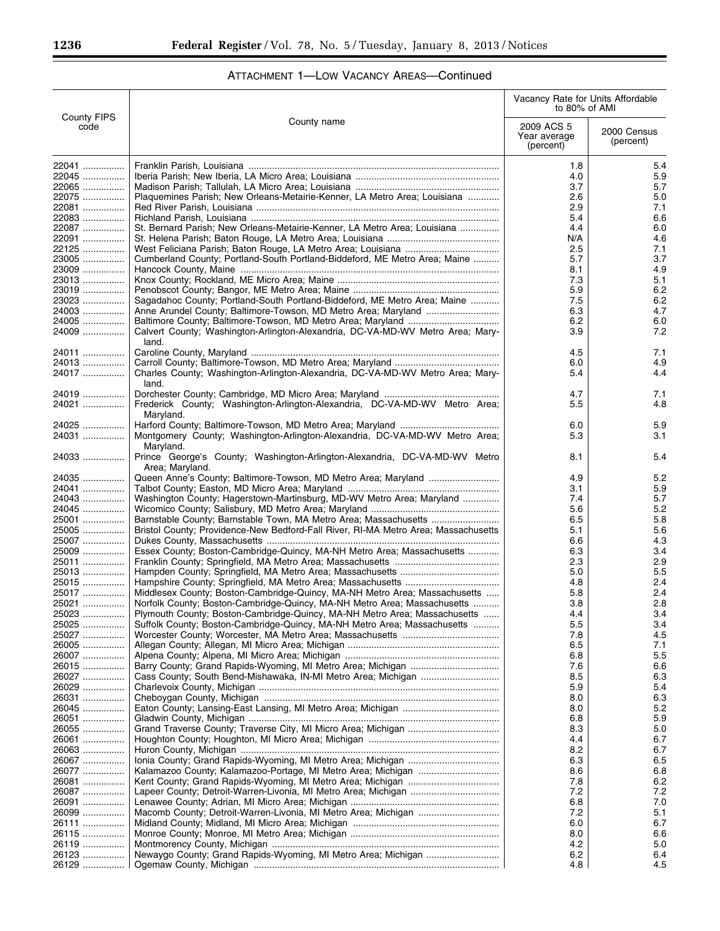|                            |                                                                                               | Vacancy Rate for Units Affordable<br>to 80% of AMI |                          |
|----------------------------|-----------------------------------------------------------------------------------------------|----------------------------------------------------|--------------------------|
| <b>County FIPS</b><br>code | County name                                                                                   | 2009 ACS 5<br>Year average<br>(percent)            | 2000 Census<br>(percent) |
| 22041                      |                                                                                               | 1.8                                                | 5.4                      |
| 22045                      |                                                                                               | 4.0                                                | 5.9                      |
| 22065                      |                                                                                               | 3.7                                                | 5.7                      |
| 22075                      | Plaquemines Parish; New Orleans-Metairie-Kenner, LA Metro Area; Louisiana                     | 2.6                                                | 5.0                      |
| 22081                      |                                                                                               | 2.9                                                | 7.1                      |
| 22083                      |                                                                                               | 5.4                                                | 6.6                      |
| 22087                      | St. Bernard Parish; New Orleans-Metairie-Kenner, LA Metro Area; Louisiana                     | 4.4                                                | 6.0                      |
| 22091                      |                                                                                               | N/A                                                | 4.6                      |
| 22125                      |                                                                                               | 2.5                                                | 7.1                      |
| 23005                      | Cumberland County; Portland-South Portland-Biddeford, ME Metro Area; Maine                    | 5.7                                                | 3.7                      |
| 23009<br>23013             |                                                                                               | 8.1<br>7.3                                         | 4.9<br>5.1               |
| 23019                      |                                                                                               | 5.9                                                | 6.2                      |
| 23023                      | Sagadahoc County; Portland-South Portland-Biddeford, ME Metro Area; Maine                     | 7.5                                                | 6.2                      |
| 24003                      |                                                                                               | 6.3                                                | 4.7                      |
| 24005                      |                                                                                               | 6.2                                                | 6.0                      |
| 24009                      | Calvert County; Washington-Arlington-Alexandria, DC-VA-MD-WV Metro Area; Mary-<br>land.       | 3.9                                                | 7.2                      |
| 24011                      |                                                                                               | 4.5                                                | 7.1                      |
| 24013                      |                                                                                               | 6.0                                                | 4.9                      |
| 24017                      | Charles County; Washington-Arlington-Alexandria, DC-VA-MD-WV Metro Area; Mary-<br>land.       | 5.4                                                | 4.4                      |
| 24019                      |                                                                                               | 4.7                                                | 7.1                      |
| 24021                      | Frederick County; Washington-Arlington-Alexandria, DC-VA-MD-WV Metro Area;<br>Maryland.       | 5.5                                                | 4.8                      |
| 24025                      |                                                                                               | 6.0                                                | 5.9                      |
| 24031                      | Montgomery County; Washington-Arlington-Alexandria, DC-VA-MD-WV Metro Area;<br>Maryland.      | 5.3                                                | 3.1                      |
| 24033                      | Prince George's County; Washington-Arlington-Alexandria, DC-VA-MD-WV Metro<br>Area; Maryland. | 8.1                                                | 5.4                      |
| 24035                      |                                                                                               | 4.9                                                | 5.2                      |
| 24041                      |                                                                                               | 3.1                                                | 5.9                      |
| 24043<br>24045             | Washington County; Hagerstown-Martinsburg, MD-WV Metro Area; Maryland                         | 7.4<br>5.6                                         | 5.7<br>5.2               |
| 25001                      |                                                                                               | 6.5                                                | 5.8                      |
| 25005                      | Bristol County; Providence-New Bedford-Fall River, RI-MA Metro Area; Massachusetts            | 5.1                                                | 5.6                      |
| 25007                      |                                                                                               | 6.6                                                | 4.3                      |
| 25009                      | Essex County; Boston-Cambridge-Quincy, MA-NH Metro Area; Massachusetts                        | 6.3                                                | 3.4                      |
| 25011                      |                                                                                               | 2.3                                                | 2.9                      |
| 25013                      |                                                                                               | 5.0                                                | 5.5                      |
| 25015                      |                                                                                               | 4.8                                                | 2.4                      |
| 25017                      | Middlesex County; Boston-Cambridge-Quincy, MA-NH Metro Area; Massachusetts                    | 5.8                                                | 2.4                      |
| 25021                      | Norfolk County; Boston-Cambridge-Quincy, MA-NH Metro Area; Massachusetts                      | 3.8                                                | 2.8                      |
| 25023                      | Plymouth County; Boston-Cambridge-Quincy, MA-NH Metro Area; Massachusetts                     | 4.4                                                | 3.4                      |
| 25025                      | Suffolk County; Boston-Cambridge-Quincy, MA-NH Metro Area; Massachusetts                      | 5.5                                                | 3.4                      |
| 25027                      |                                                                                               | 7.8                                                | 4.5                      |
| 26005                      |                                                                                               | 6.5                                                | 7.1                      |
| 26007                      |                                                                                               | 6.8                                                | 5.5                      |
| 26015                      |                                                                                               | 7.6                                                | 6.6                      |
| 26027                      |                                                                                               | 8.5                                                | 6.3                      |
| 26029<br>26031             |                                                                                               | 5.9<br>8.0                                         | 5.4<br>6.3               |
| 26045                      |                                                                                               | 8.0                                                | 5.2                      |
| 26051                      |                                                                                               | 6.8                                                | 5.9                      |
| 26055                      |                                                                                               | 8.3                                                | 5.0                      |
| 26061                      |                                                                                               | 4.4                                                | 6.7                      |
| 26063                      |                                                                                               | 8.2                                                | 6.7                      |
| 26067                      |                                                                                               | 6.3                                                | 6.5                      |
| 26077                      |                                                                                               | 8.6                                                | 6.8                      |
| 26081                      |                                                                                               | 7.8                                                | 6.2                      |
| 26087                      |                                                                                               | 7.2                                                | 7.2                      |
| 26091                      |                                                                                               | 6.8                                                | 7.0                      |
| 26099                      |                                                                                               | 7.2                                                | 5.1                      |
| 26111                      |                                                                                               | 6.0                                                | 6.7                      |
| 26115                      |                                                                                               | 8.0                                                | 6.6                      |
| 26119                      |                                                                                               | 4.2                                                | 5.0                      |
| 26123                      | Newaygo County; Grand Rapids-Wyoming, MI Metro Area; Michigan                                 | 6.2<br>4.8                                         | 6.4<br>4.5               |
| 26129                      |                                                                                               |                                                    |                          |

# ATTACHMENT 1—LOW VACANCY AREAS—Continued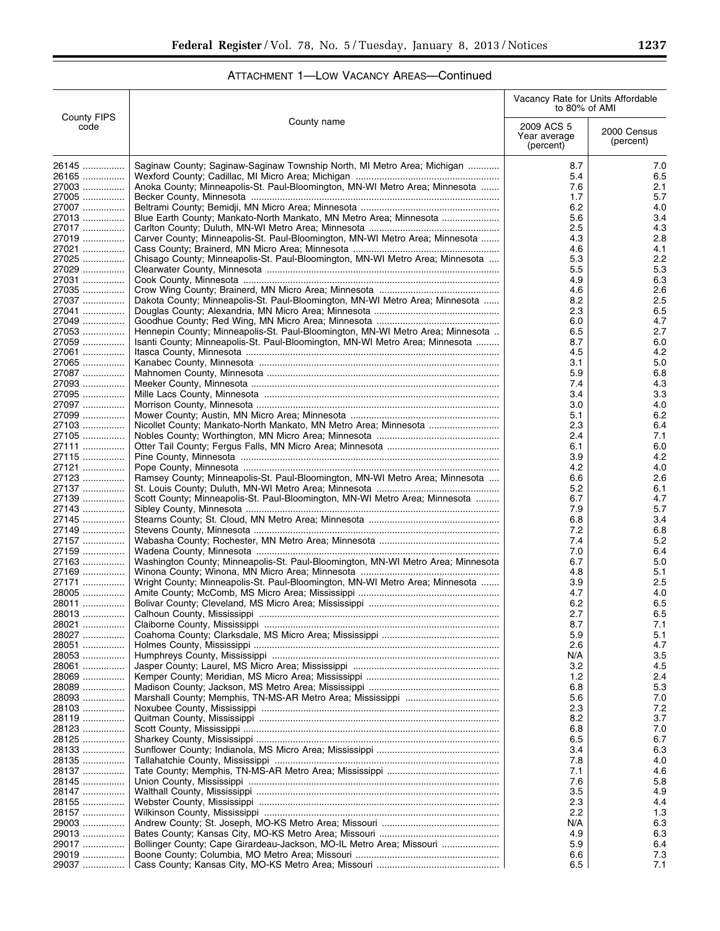|  |  | ATTACHMENT 1-LOW VACANCY AREAS-Continued |
|--|--|------------------------------------------|
|--|--|------------------------------------------|

|                            |                                                                                  | Vacancy Rate for Units Affordable<br>to 80% of AMI |                          |
|----------------------------|----------------------------------------------------------------------------------|----------------------------------------------------|--------------------------|
| <b>County FIPS</b><br>code | County name                                                                      | 2009 ACS 5<br>Year average<br>(percent)            | 2000 Census<br>(percent) |
| 26145                      | Saginaw County; Saginaw-Saginaw Township North, MI Metro Area; Michigan          | 8.7                                                | 7.0                      |
| 26165                      |                                                                                  | 5.4                                                | 6.5                      |
| 27003<br>27005             | Anoka County; Minneapolis-St. Paul-Bloomington, MN-WI Metro Area; Minnesota      | 7.6<br>1.7                                         | 2.1<br>5.7               |
| 27007                      |                                                                                  | 6.2                                                | 4.0                      |
| 27013                      | Blue Earth County; Mankato-North Mankato, MN Metro Area; Minnesota               | 5.6                                                | 3.4                      |
| 27017                      |                                                                                  | 2.5                                                | 4.3                      |
| 27019                      | Carver County; Minneapolis-St. Paul-Bloomington, MN-WI Metro Area; Minnesota     | 4.3                                                | 2.8                      |
| $27021$<br>27025           |                                                                                  | 4.6<br>5.3                                         | 4.1<br>2.2               |
| 27029                      | Chisago County; Minneapolis-St. Paul-Bloomington, MN-WI Metro Area; Minnesota    | 5.5                                                | 5.3                      |
| 27031                      |                                                                                  | 4.9                                                | 6.3                      |
| 27035                      |                                                                                  | 4.6                                                | 2.6                      |
| 27037                      | Dakota County; Minneapolis-St. Paul-Bloomington, MN-WI Metro Area; Minnesota     | 8.2                                                | 2.5                      |
| 27041                      |                                                                                  | 2.3                                                | 6.5                      |
| 27049<br>27053             | Hennepin County; Minneapolis-St. Paul-Bloomington, MN-WI Metro Area; Minnesota   | 6.0<br>6.5                                         | 4.7<br>2.7               |
| 27059                      | Isanti County; Minneapolis-St. Paul-Bloomington, MN-WI Metro Area; Minnesota     | 8.7                                                | 6.0                      |
| 27061                      |                                                                                  | 4.5                                                | 4.2                      |
| 27065                      |                                                                                  | 3.1                                                | 5.0                      |
| 27087                      |                                                                                  | 5.9                                                | 6.8                      |
| 27093                      |                                                                                  | 7.4                                                | 4.3                      |
| 27095                      |                                                                                  | 3.4                                                | 3.3                      |
| 27097                      |                                                                                  | 3.0                                                | 4.0                      |
| 27099<br>27103             | Nicollet County; Mankato-North Mankato, MN Metro Area; Minnesota                 | 5.1<br>2.3                                         | 6.2<br>6.4               |
| 27105                      |                                                                                  | 2.4                                                | 7.1                      |
| 27111                      |                                                                                  | 6.1                                                | 6.0                      |
| 27115                      |                                                                                  | 3.9                                                | 4.2                      |
| 27121                      |                                                                                  | 4.2                                                | 4.0                      |
| 27123                      | Ramsey County; Minneapolis-St. Paul-Bloomington, MN-WI Metro Area; Minnesota     | 6.6                                                | 2.6                      |
| 27137                      |                                                                                  | 5.2                                                | 6.1                      |
| 27139<br>27143             | Scott County; Minneapolis-St. Paul-Bloomington, MN-WI Metro Area; Minnesota      | 6.7<br>7.9                                         | 4.7<br>5.7               |
| 27145                      |                                                                                  | 6.8                                                | 3.4                      |
| 27149                      |                                                                                  | 7.2                                                | 6.8                      |
| 27157                      |                                                                                  | 7.4                                                | 5.2                      |
| 27159                      |                                                                                  | 7.0                                                | 6.4                      |
| 27163                      | Washington County; Minneapolis-St. Paul-Bloomington, MN-WI Metro Area; Minnesota | 6.7                                                | 5.0                      |
| 27169<br>27171             | Wright County; Minneapolis-St. Paul-Bloomington, MN-WI Metro Area; Minnesota     | 4.8<br>3.9                                         | 5.1<br>2.5               |
| 28005                      |                                                                                  | 4.7                                                | 4.0                      |
| 28011                      |                                                                                  | 6.2                                                | 6.5                      |
| 28013                      |                                                                                  | 2.7                                                | 6.5                      |
| 28021                      |                                                                                  | 8.7                                                | 7.1                      |
| 28027                      |                                                                                  | 5.9                                                | 5.1                      |
| 28051                      |                                                                                  | 2.6                                                | 4.7                      |
| 28053<br>28061             |                                                                                  | N/A<br>3.2                                         | 3.5<br>4.5               |
| 28069                      |                                                                                  | 1.2                                                | 2.4                      |
| 28089                      |                                                                                  | 6.8                                                | 5.3                      |
| 28093                      |                                                                                  | 5.6                                                | 7.0                      |
| 28103                      |                                                                                  | 2.3                                                | 7.2                      |
| 28119                      |                                                                                  | 8.2                                                | 3.7                      |
| 28123<br>28125             |                                                                                  | 6.8<br>6.5                                         | 7.0<br>6.7               |
| 28133                      |                                                                                  | 3.4                                                | 6.3                      |
| 28135                      |                                                                                  | 7.8                                                | 4.0                      |
| 28137                      |                                                                                  | 7.1                                                | 4.6                      |
| 28145                      |                                                                                  | 7.6                                                | 5.8                      |
| 28147                      |                                                                                  | 3.5                                                | 4.9                      |
| 28155                      |                                                                                  | 2.3                                                | 4.4                      |
| 28157<br>29003             |                                                                                  | 2.2<br>N/A                                         | 1.3<br>6.3               |
| 29013                      |                                                                                  | 4.9                                                | 6.3                      |
| 29017                      | Bollinger County; Cape Girardeau-Jackson, MO-IL Metro Area; Missouri             | 5.9                                                | 6.4                      |
| 29019                      |                                                                                  | 6.6                                                | 7.3                      |
| 29037                      |                                                                                  | 6.5                                                | 7.1                      |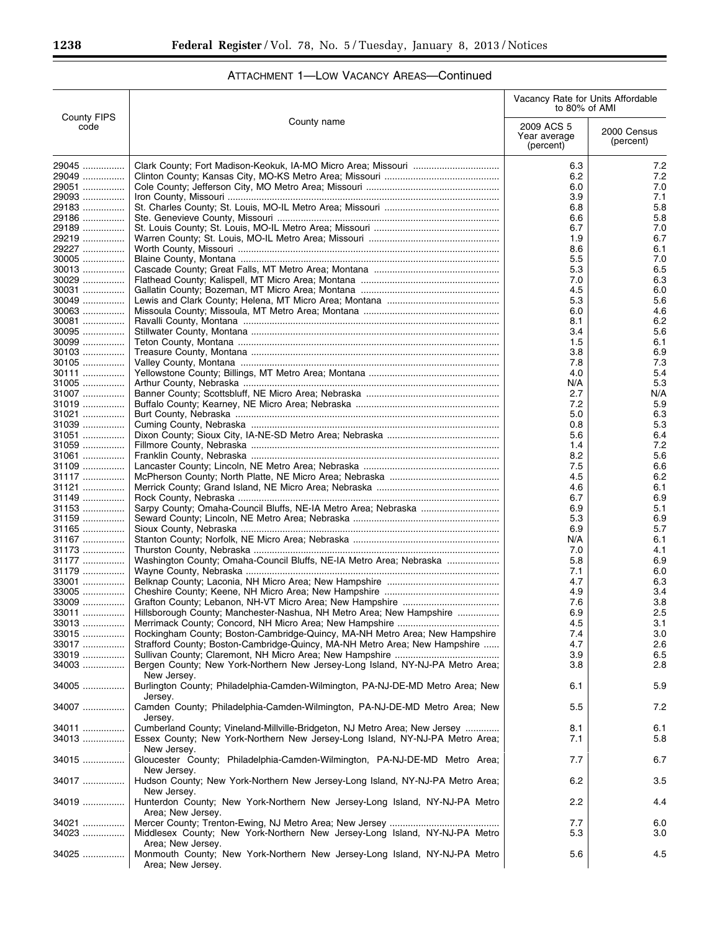|                            |                                                                                                                     | Vacancy Rate for Units Affordable<br>to 80% of AMI |                          |
|----------------------------|---------------------------------------------------------------------------------------------------------------------|----------------------------------------------------|--------------------------|
| <b>County FIPS</b><br>code | County name                                                                                                         | 2009 ACS 5<br>Year average<br>(percent)            | 2000 Census<br>(percent) |
| 29045<br>29049<br>29051    |                                                                                                                     | 6.3<br>6.2<br>6.0                                  | 7.2<br>7.2<br>7.0        |
| 29093                      |                                                                                                                     | 3.9                                                | 7.1                      |
| 29183                      |                                                                                                                     | 6.8                                                | 5.8                      |
| 29186                      |                                                                                                                     | 6.6                                                | 5.8                      |
| 29189                      |                                                                                                                     | 6.7                                                | 7.0                      |
| 29219<br>29227             |                                                                                                                     | 1.9<br>8.6                                         | 6.7<br>6.1               |
| 30005                      |                                                                                                                     | 5.5                                                | 7.0                      |
| $30013$                    |                                                                                                                     | 5.3                                                | 6.5                      |
| 30029                      |                                                                                                                     | 7.0                                                | 6.3                      |
| 30031                      |                                                                                                                     | 4.5                                                | 6.0                      |
| 30049<br>30063             |                                                                                                                     | 5.3<br>6.0                                         | 5.6<br>4.6               |
| 30081                      |                                                                                                                     | 8.1                                                | 6.2                      |
| 30095                      |                                                                                                                     | 3.4                                                | 5.6                      |
| $30099$                    |                                                                                                                     | 1.5                                                | 6.1                      |
| 30103                      |                                                                                                                     | 3.8                                                | 6.9                      |
| 30105                      |                                                                                                                     | 7.8                                                | 7.3                      |
| 30111<br>31005             |                                                                                                                     | 4.0<br>N/A                                         | 5.4<br>5.3               |
| 31007                      |                                                                                                                     | 2.7                                                | N/A                      |
| 31019                      |                                                                                                                     | 7.2                                                | 5.9                      |
| 31021                      |                                                                                                                     | 5.0                                                | 6.3                      |
| 31039                      |                                                                                                                     | 0.8                                                | 5.3                      |
| 31051                      |                                                                                                                     | 5.6                                                | 6.4                      |
| 31059                      |                                                                                                                     | 1.4                                                | 7.2                      |
| 31061<br>31109             |                                                                                                                     | 8.2<br>7.5                                         | 5.6<br>6.6               |
| 31117                      |                                                                                                                     | 4.5                                                | 6.2                      |
| 31121                      |                                                                                                                     | 4.6                                                | 6.1                      |
| 31149                      |                                                                                                                     | 6.7                                                | 6.9                      |
| 31153                      |                                                                                                                     | 6.9                                                | 5.1                      |
| 31159                      |                                                                                                                     | 5.3                                                | 6.9                      |
| 31165<br>31167             |                                                                                                                     | 6.9<br>N/A                                         | 5.7<br>6.1               |
| 31173                      |                                                                                                                     | 7.0                                                | 4.1                      |
| 31177                      | Washington County; Omaha-Council Bluffs, NE-IA Metro Area; Nebraska                                                 | 5.8                                                | 6.9                      |
| 31179                      |                                                                                                                     | 7.1                                                | 6.0                      |
| 33001                      |                                                                                                                     | 4.7                                                | 6.3                      |
| $33005$                    |                                                                                                                     | 4.9                                                | 3.4                      |
| 33009<br>$33011$           | Hillsborough County; Manchester-Nashua, NH Metro Area; New Hampshire                                                | 7.6<br>6.9                                         | 3.8<br>2.5               |
| 33013                      |                                                                                                                     | 4.5                                                | 3.1                      |
| 33015                      | Rockingham County; Boston-Cambridge-Quincy, MA-NH Metro Area; New Hampshire                                         | 7.4                                                | 3.0                      |
| 33017                      | Strafford County; Boston-Cambridge-Quincy, MA-NH Metro Area; New Hampshire                                          | 4.7                                                | 2.6                      |
| 33019                      |                                                                                                                     | 3.9                                                | 6.5                      |
| 34003                      | Bergen County; New York-Northern New Jersey-Long Island, NY-NJ-PA Metro Area;<br>New Jersey.                        | 3.8                                                | 2.8                      |
| 34005                      | Burlington County; Philadelphia-Camden-Wilmington, PA-NJ-DE-MD Metro Area; New                                      | 6.1                                                | 5.9                      |
| 34007                      | Jersev.<br>Camden County; Philadelphia-Camden-Wilmington, PA-NJ-DE-MD Metro Area; New<br>Jersey.                    | 5.5                                                | 7.2                      |
| 34011                      | Cumberland County; Vineland-Millville-Bridgeton, NJ Metro Area; New Jersey                                          | 8.1                                                | 6.1                      |
| 34013                      | Essex County; New York-Northern New Jersey-Long Island, NY-NJ-PA Metro Area;<br>New Jersey.                         | 7.1                                                | 5.8                      |
| 34015                      | Gloucester County; Philadelphia-Camden-Wilmington, PA-NJ-DE-MD Metro Area;<br>New Jersey.                           | 7.7                                                | 6.7                      |
| 34017                      | Hudson County; New York-Northern New Jersey-Long Island, NY-NJ-PA Metro Area;<br>New Jersey.                        | 6.2                                                | 3.5                      |
| 34019                      | Hunterdon County; New York-Northern New Jersey-Long Island, NY-NJ-PA Metro<br>Area; New Jersey.                     | 2.2                                                | 4.4                      |
| 34021                      |                                                                                                                     | 7.7                                                | 6.0                      |
| 34023                      | Middlesex County; New York-Northern New Jersey-Long Island, NY-NJ-PA Metro                                          | 5.3                                                | 3.0                      |
| 34025                      | Area; New Jersey.<br>Monmouth County; New York-Northern New Jersey-Long Island, NY-NJ-PA Metro<br>Area; New Jersey. | 5.6                                                | 4.5                      |

 $\equiv$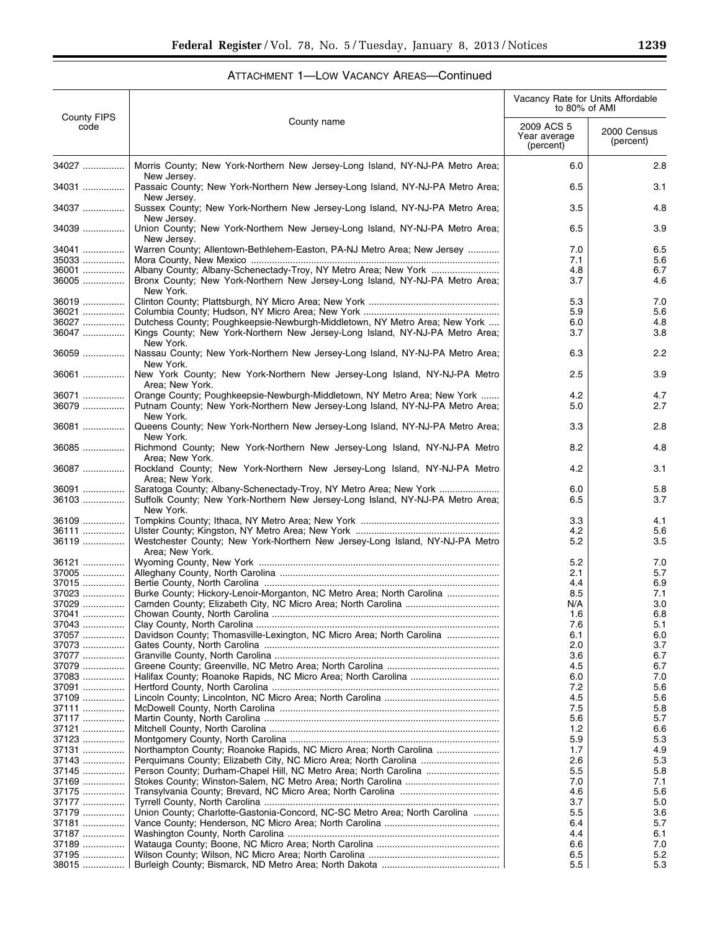|                            |                                                                                                                                                                  | Vacancy Rate for Units Affordable<br>to 80% of AMI |                          |
|----------------------------|------------------------------------------------------------------------------------------------------------------------------------------------------------------|----------------------------------------------------|--------------------------|
| <b>County FIPS</b><br>code | County name                                                                                                                                                      | 2009 ACS 5<br>Year average<br>(percent)            | 2000 Census<br>(percent) |
| 34027                      | Morris County; New York-Northern New Jersey-Long Island, NY-NJ-PA Metro Area;                                                                                    | 6.0                                                | 2.8                      |
| 34031                      | New Jersey.<br>Passaic County; New York-Northern New Jersey-Long Island, NY-NJ-PA Metro Area;                                                                    | 6.5                                                | 3.1                      |
| 34037                      | New Jersey.<br>Sussex County; New York-Northern New Jersey-Long Island, NY-NJ-PA Metro Area;                                                                     | 3.5                                                | 4.8                      |
| 34039                      | New Jersey.<br>Union County; New York-Northern New Jersey-Long Island, NY-NJ-PA Metro Area;                                                                      | 6.5                                                | 3.9                      |
| 34041                      | New Jersev.<br>Warren County; Allentown-Bethlehem-Easton, PA-NJ Metro Area; New Jersey                                                                           | 7.0                                                | 6.5                      |
| 35033                      |                                                                                                                                                                  | 7.1                                                | 5.6                      |
| 36001<br>36005             | Bronx County; New York-Northern New Jersey-Long Island, NY-NJ-PA Metro Area;<br>New York.                                                                        | 4.8<br>3.7                                         | 6.7<br>4.6               |
| 36019                      |                                                                                                                                                                  | 5.3                                                | 7.0                      |
| 36021                      |                                                                                                                                                                  | 5.9                                                | 5.6                      |
| 36027<br>36047             | Dutchess County; Poughkeepsie-Newburgh-Middletown, NY Metro Area; New York<br>Kings County; New York-Northern New Jersey-Long Island, NY-NJ-PA Metro Area;       | 6.0<br>3.7                                         | 4.8<br>3.8               |
| 36059                      | New York.<br>Nassau County; New York-Northern New Jersey-Long Island, NY-NJ-PA Metro Area;<br>New York.                                                          | 6.3                                                | 2.2                      |
| 36061                      | New York County: New York-Northern New Jersey-Long Island, NY-NJ-PA Metro<br>Area: New York.                                                                     | 2.5                                                | 3.9                      |
| 36071                      | Orange County; Poughkeepsie-Newburgh-Middletown, NY Metro Area; New York                                                                                         | 4.2                                                | 4.7                      |
| 36079                      | Putnam County; New York-Northern New Jersey-Long Island, NY-NJ-PA Metro Area;<br>New York.                                                                       | 5.0                                                | 2.7                      |
| 36081                      | Queens County; New York-Northern New Jersey-Long Island, NY-NJ-PA Metro Area;<br>New York.                                                                       | 3.3                                                | 2.8                      |
| 36085                      | Richmond County; New York-Northern New Jersey-Long Island, NY-NJ-PA Metro<br>Area: New York.                                                                     | 8.2                                                | 4.8                      |
| 36087                      | Rockland County; New York-Northern New Jersey-Long Island, NY-NJ-PA Metro<br>Area: New York.                                                                     | 4.2                                                | 3.1                      |
| 36091<br>36103             | Saratoga County; Albany-Schenectady-Troy, NY Metro Area; New York<br>Suffolk County; New York-Northern New Jersey-Long Island, NY-NJ-PA Metro Area;<br>New York. | 6.0<br>6.5                                         | 5.8<br>3.7               |
| 36109                      |                                                                                                                                                                  | 3.3                                                | 4.1                      |
| 36111                      |                                                                                                                                                                  | 4.2                                                | 5.6                      |
| 36119                      | Westchester County; New York-Northern New Jersey-Long Island, NY-NJ-PA Metro<br>Area; New York.                                                                  | 5.2                                                | 3.5                      |
| 36121                      |                                                                                                                                                                  | 5.2                                                | 7.0                      |
| 37005                      |                                                                                                                                                                  | 2.1                                                | 5.7                      |
| 37015                      |                                                                                                                                                                  | 4.4                                                | 6.9                      |
| 37023<br>$37029$           | Burke County; Hickory-Lenoir-Morganton, NC Metro Area; North Carolina                                                                                            | 8.5<br>N/A                                         | 7.1<br>3.0               |
| 37041                      |                                                                                                                                                                  | 1.6                                                | 6.8                      |
| 37043                      |                                                                                                                                                                  | 7.6                                                | 5.1                      |
| 37057                      | Davidson County; Thomasville-Lexington, NC Micro Area; North Carolina                                                                                            | 6.1                                                | 6.0                      |
| 37073                      |                                                                                                                                                                  | 2.0                                                | 3.7                      |
| 37077                      |                                                                                                                                                                  | 3.6                                                | 6.7                      |
| 37079                      |                                                                                                                                                                  | 4.5                                                | 6.7                      |
| 37083                      |                                                                                                                                                                  | 6.0                                                | 7.0                      |
| 37091                      |                                                                                                                                                                  | 7.2                                                | 5.6                      |
| 37109                      |                                                                                                                                                                  | 4.5                                                | 5.6                      |
| 37111<br>37117             |                                                                                                                                                                  | 7.5<br>5.6                                         | 5.8<br>5.7               |
| 37121                      |                                                                                                                                                                  | 1.2                                                | 6.6                      |
| 37123                      |                                                                                                                                                                  | 5.9                                                | 5.3                      |
| 37131                      | Northampton County; Roanoke Rapids, NC Micro Area; North Carolina                                                                                                | 1.7                                                | 4.9                      |
| 37143                      | Perquimans County; Elizabeth City, NC Micro Area; North Carolina                                                                                                 | 2.6                                                | 5.3                      |
| 37145                      | Person County; Durham-Chapel Hill, NC Metro Area; North Carolina                                                                                                 | 5.5                                                | 5.8                      |
| 37169                      |                                                                                                                                                                  | 7.0                                                | 7.1                      |
| 37175                      |                                                                                                                                                                  | 4.6                                                | 5.6                      |
| 37177                      |                                                                                                                                                                  | 3.7                                                | 5.0                      |
| 37179                      | Union County; Charlotte-Gastonia-Concord, NC-SC Metro Area; North Carolina                                                                                       | 5.5                                                | 3.6                      |
| 37181                      |                                                                                                                                                                  | 6.4                                                | 5.7                      |
| 37187                      |                                                                                                                                                                  | 4.4                                                | 6.1                      |
| 37189<br>37195             |                                                                                                                                                                  | 6.6<br>6.5                                         | 7.0<br>5.2               |
| 38015                      |                                                                                                                                                                  | 5.5                                                | 5.3                      |
|                            |                                                                                                                                                                  |                                                    |                          |

e<br>B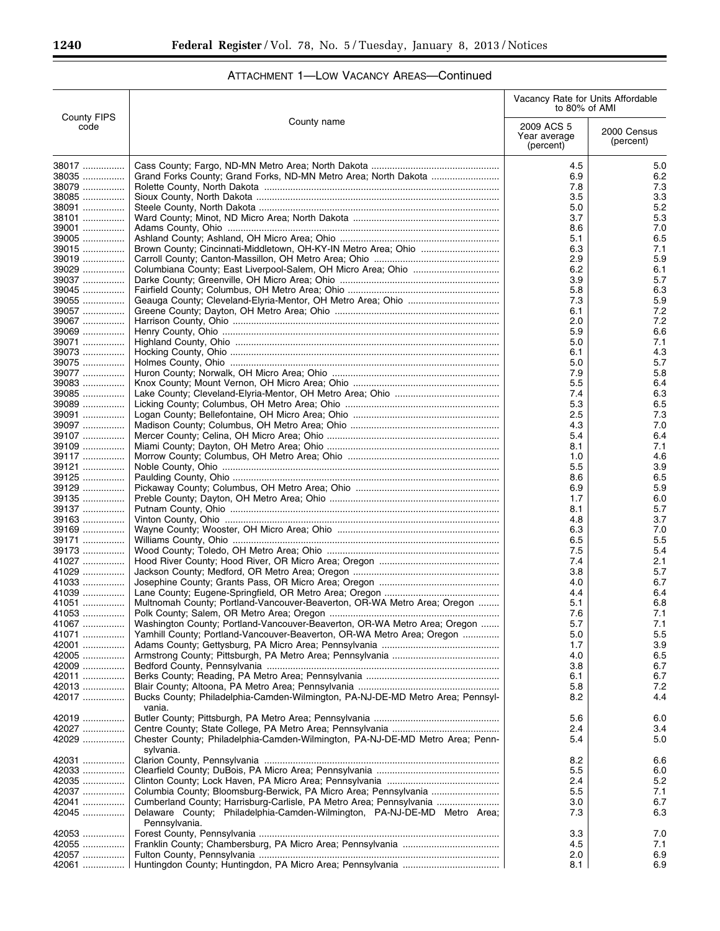Ξ

|                            |                                                                                          | Vacancy Rate for Units Affordable<br>to 80% of AMI |                          |
|----------------------------|------------------------------------------------------------------------------------------|----------------------------------------------------|--------------------------|
| <b>County FIPS</b><br>code | County name                                                                              | 2009 ACS 5<br>Year average<br>(percent)            | 2000 Census<br>(percent) |
| 38017                      |                                                                                          | 4.5                                                | 5.0                      |
| 38035                      |                                                                                          | 6.9                                                | 6.2                      |
| 38079                      |                                                                                          | 7.8                                                | 7.3                      |
| 38085                      |                                                                                          | 3.5                                                | 3.3                      |
| 38091                      |                                                                                          | 5.0                                                | 5.2                      |
| 38101                      |                                                                                          | 3.7                                                | 5.3                      |
| 39001                      |                                                                                          | 8.6                                                | 7.0                      |
| 39005                      |                                                                                          | 5.1                                                | 6.5                      |
| 39015                      |                                                                                          | 6.3<br>2.9                                         | 7.1<br>5.9               |
| 39019<br>39029             |                                                                                          | 6.2                                                | 6.1                      |
| 39037                      |                                                                                          | 3.9                                                | 5.7                      |
| 39045                      |                                                                                          | 5.8                                                | 6.3                      |
| 39055                      |                                                                                          | 7.3                                                | 5.9                      |
| 39057                      |                                                                                          | 6.1                                                | 7.2                      |
| 39067                      |                                                                                          | 2.0                                                | 7.2                      |
| 39069                      |                                                                                          | 5.9                                                | 6.6                      |
| 39071                      |                                                                                          | 5.0                                                | 7.1                      |
| 39073                      |                                                                                          | 6.1                                                | 4.3                      |
| 39075                      |                                                                                          | 5.0                                                | 5.7                      |
| 39077                      |                                                                                          | 7.9                                                | 5.8                      |
| 39083                      |                                                                                          | 5.5                                                | 6.4                      |
| 39085                      |                                                                                          | 7.4                                                | 6.3                      |
| 39089<br>39091             |                                                                                          | 5.3                                                | 6.5                      |
| 39097                      |                                                                                          | 2.5<br>4.3                                         | 7.3<br>7.0               |
| 39107                      |                                                                                          | 5.4                                                | 6.4                      |
| 39109                      |                                                                                          | 8.1                                                | 7.1                      |
| 39117                      |                                                                                          | 1.0                                                | 4.6                      |
| 39121                      |                                                                                          | 5.5                                                | 3.9                      |
| 39125                      |                                                                                          | 8.6                                                | 6.5                      |
| 39129                      |                                                                                          | 6.9                                                | 5.9                      |
| 39135                      |                                                                                          | 1.7                                                | 6.0                      |
| 39137                      |                                                                                          | 8.1                                                | 5.7                      |
| 39163                      |                                                                                          | 4.8                                                | 3.7                      |
| 39169                      |                                                                                          | 6.3                                                | 7.0                      |
| 39171                      |                                                                                          | 6.5                                                | 5.5                      |
| 39173                      |                                                                                          | 7.5                                                | 5.4                      |
| 41027                      |                                                                                          | 7.4                                                | 2.1                      |
| 41029                      |                                                                                          | 3.8                                                | 5.7                      |
| 41033                      |                                                                                          | 4.0                                                | 6.7                      |
| 41039<br>41051             | Multnomah County; Portland-Vancouver-Beaverton, OR-WA Metro Area; Oregon                 | 4.4<br>5.1                                         | 6.4<br>6.8               |
| 41053                      |                                                                                          | 7.6                                                | 7.1                      |
| 41067                      | Washington County; Portland-Vancouver-Beaverton, OR-WA Metro Area; Oregon                | 5.7                                                | 7.1                      |
| 41071                      | Yamhill County; Portland-Vancouver-Beaverton, OR-WA Metro Area; Oregon                   | 5.0                                                | 5.5                      |
| 42001                      |                                                                                          | 1.7                                                | 3.9                      |
| 42005                      |                                                                                          | 4.0                                                | 6.5                      |
| 42009                      |                                                                                          | 3.8                                                | 6.7                      |
| 42011                      |                                                                                          | 6.1                                                | 6.7                      |
| 42013                      |                                                                                          | 5.8                                                | 7.2                      |
| 42017                      | Bucks County; Philadelphia-Camden-Wilmington, PA-NJ-DE-MD Metro Area; Pennsyl-<br>vania. | 8.2                                                | 4.4                      |
| 42019                      |                                                                                          | 5.6                                                | 6.0                      |
| 42027                      |                                                                                          | 2.4                                                | 3.4                      |
| 42029                      | Chester County; Philadelphia-Camden-Wilmington, PA-NJ-DE-MD Metro Area; Penn-            | 5.4                                                | 5.0                      |
|                            | sylvania.                                                                                |                                                    |                          |
| 42031                      |                                                                                          | 8.2                                                | 6.6                      |
| 42033                      |                                                                                          | 5.5                                                | 6.0                      |
| 42035                      |                                                                                          | 2.4                                                | 5.2                      |
| 42037                      |                                                                                          | 5.5                                                | 7.1                      |
| 42041                      | Cumberland County; Harrisburg-Carlisle, PA Metro Area; Pennsylvania                      | 3.0                                                | 6.7                      |
| 42045                      | Delaware County; Philadelphia-Camden-Wilmington, PA-NJ-DE-MD Metro Area;                 | 7.3                                                | 6.3                      |
|                            | Pennsylvania.                                                                            |                                                    |                          |
| 42053<br>42055             |                                                                                          | 3.3<br>4.5                                         | 7.0<br>7.1               |
| 42057                      |                                                                                          | 2.0                                                | 6.9                      |
| 42061                      |                                                                                          | 8.1                                                | 6.9                      |
|                            |                                                                                          |                                                    |                          |

# ATTACHMENT 1—LOW VACANCY AREAS—Continued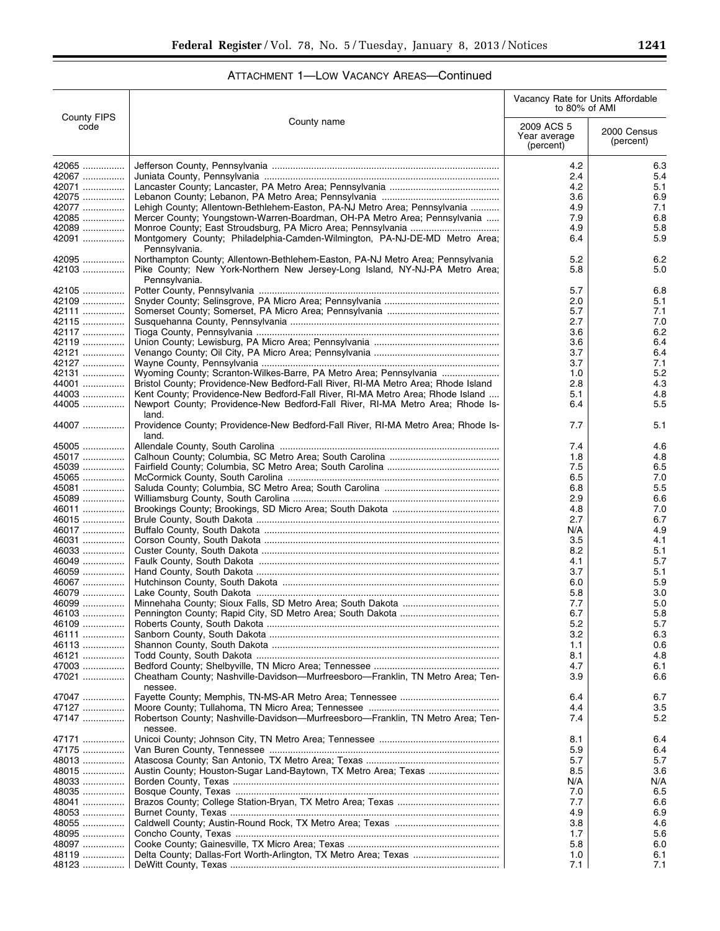|                            |                                                                                                                                                                                | Vacancy Rate for Units Affordable<br>to 80% of AMI |                          |
|----------------------------|--------------------------------------------------------------------------------------------------------------------------------------------------------------------------------|----------------------------------------------------|--------------------------|
| <b>County FIPS</b><br>code | County name                                                                                                                                                                    | 2009 ACS 5<br>Year average<br>(percent)            | 2000 Census<br>(percent) |
| 42065                      |                                                                                                                                                                                | 4.2                                                | 6.3                      |
| 42067                      |                                                                                                                                                                                | 2.4                                                | 5.4                      |
| 42071                      |                                                                                                                                                                                | 4.2                                                | 5.1                      |
| 42075<br>42077             | Lehigh County; Allentown-Bethlehem-Easton, PA-NJ Metro Area; Pennsylvania                                                                                                      | 3.6<br>4.9                                         | 6.9<br>7.1               |
| 42085                      | Mercer County; Youngstown-Warren-Boardman, OH-PA Metro Area; Pennsylvania                                                                                                      | 7.9                                                | 6.8                      |
| 42089                      |                                                                                                                                                                                | 4.9                                                | 5.8                      |
| 42091                      | Montgomery County; Philadelphia-Camden-Wilmington, PA-NJ-DE-MD Metro Area;<br>Pennsylvania.                                                                                    | 6.4                                                | 5.9                      |
| 42095<br>42103             | Northampton County; Allentown-Bethlehem-Easton, PA-NJ Metro Area; Pennsylvania<br>Pike County; New York-Northern New Jersey-Long Island, NY-NJ-PA Metro Area;<br>Pennsylvania. | 5.2<br>5.8                                         | 6.2<br>5.0               |
| 42105                      |                                                                                                                                                                                | 5.7                                                | 6.8                      |
| 42109                      |                                                                                                                                                                                | 2.0                                                | 5.1                      |
| 42111                      |                                                                                                                                                                                | 5.7                                                | 7.1                      |
| 42115                      |                                                                                                                                                                                | 2.7<br>3.6                                         | 7.0<br>6.2               |
| 42117<br>42119             |                                                                                                                                                                                | 3.6                                                | 6.4                      |
| 42121                      |                                                                                                                                                                                | 3.7                                                | 6.4                      |
| 42127                      |                                                                                                                                                                                | 3.7                                                | 7.1                      |
| 42131                      | Wyoming County; Scranton-Wilkes-Barre, PA Metro Area; Pennsylvania                                                                                                             | 1.0                                                | 5.2                      |
| 44001                      | Bristol County; Providence-New Bedford-Fall River, RI-MA Metro Area; Rhode Island                                                                                              | 2.8                                                | 4.3                      |
| 44003                      | Kent County; Providence-New Bedford-Fall River, RI-MA Metro Area; Rhode Island                                                                                                 | 5.1                                                | 4.8                      |
| 44005                      | Newport County; Providence-New Bedford-Fall River, RI-MA Metro Area; Rhode Is-<br>land.                                                                                        | 6.4                                                | 5.5                      |
| 44007                      | Providence County; Providence-New Bedford-Fall River, RI-MA Metro Area; Rhode Is-<br>land.                                                                                     | 7.7                                                | 5.1                      |
| 45005                      |                                                                                                                                                                                | 7.4                                                | 4.6                      |
| 45017                      |                                                                                                                                                                                | 1.8                                                | 4.8                      |
| 45039                      |                                                                                                                                                                                | 7.5                                                | 6.5                      |
| 45065                      |                                                                                                                                                                                | 6.5                                                | 7.0<br>5.5               |
| 45081<br>45089             |                                                                                                                                                                                | 6.8<br>2.9                                         | 6.6                      |
| 46011                      |                                                                                                                                                                                | 4.8                                                | 7.0                      |
| 46015                      |                                                                                                                                                                                | 2.7                                                | 6.7                      |
| 46017                      |                                                                                                                                                                                | N/A                                                | 4.9                      |
| 46031                      |                                                                                                                                                                                | 3.5                                                | 4.1                      |
| 46033                      |                                                                                                                                                                                | 8.2                                                | 5.1                      |
| 46049                      |                                                                                                                                                                                | 4.1                                                | 5.7                      |
| 46059                      |                                                                                                                                                                                | 3.7<br>6.0                                         | 5.1                      |
| 46067<br>46079             |                                                                                                                                                                                | 5.8                                                | 5.9<br>3.0               |
| 46099                      |                                                                                                                                                                                | 7.7                                                | 5.0                      |
| 46103                      |                                                                                                                                                                                | 6.7                                                | 5.8                      |
| 46109                      |                                                                                                                                                                                | 5.2                                                | 5.7                      |
| 46111                      |                                                                                                                                                                                | 3.2                                                | 6.3                      |
| 46113                      |                                                                                                                                                                                | 1.1                                                | 0.6                      |
| 46121                      |                                                                                                                                                                                | 8.1                                                | 4.8                      |
| 47003<br>47021             | Cheatham County; Nashville-Davidson-Murfreesboro-Franklin, TN Metro Area; Ten-<br>nessee.                                                                                      | 4.7<br>3.9                                         | 6.1<br>6.6               |
| 47047                      |                                                                                                                                                                                | 6.4                                                | 6.7                      |
| 47127                      |                                                                                                                                                                                | 4.4                                                | 3.5                      |
| 47147                      | Robertson County; Nashville-Davidson-Murfreesboro-Franklin, TN Metro Area; Ten-<br>nessee.                                                                                     | 7.4                                                | 5.2                      |
| 47171                      |                                                                                                                                                                                | 8.1                                                | 6.4                      |
| 47175<br>48013             |                                                                                                                                                                                | 5.9<br>5.7                                         | 6.4<br>5.7               |
| 48015                      |                                                                                                                                                                                | 8.5                                                | 3.6                      |
| 48033                      |                                                                                                                                                                                | N/A                                                | N/A                      |
| 48035                      |                                                                                                                                                                                | 7.0                                                | 6.5                      |
| 48041                      |                                                                                                                                                                                | 7.7                                                | 6.6                      |
| 48053                      |                                                                                                                                                                                | 4.9                                                | 6.9                      |
| 48055                      |                                                                                                                                                                                | 3.8                                                | 4.6                      |
| 48095                      |                                                                                                                                                                                | 1.7                                                | 5.6                      |
| 48097<br>48119             |                                                                                                                                                                                | 5.8<br>1.0                                         | 6.0<br>6.1               |
| 48123                      |                                                                                                                                                                                | 7.1                                                | 7.1                      |

e<br>B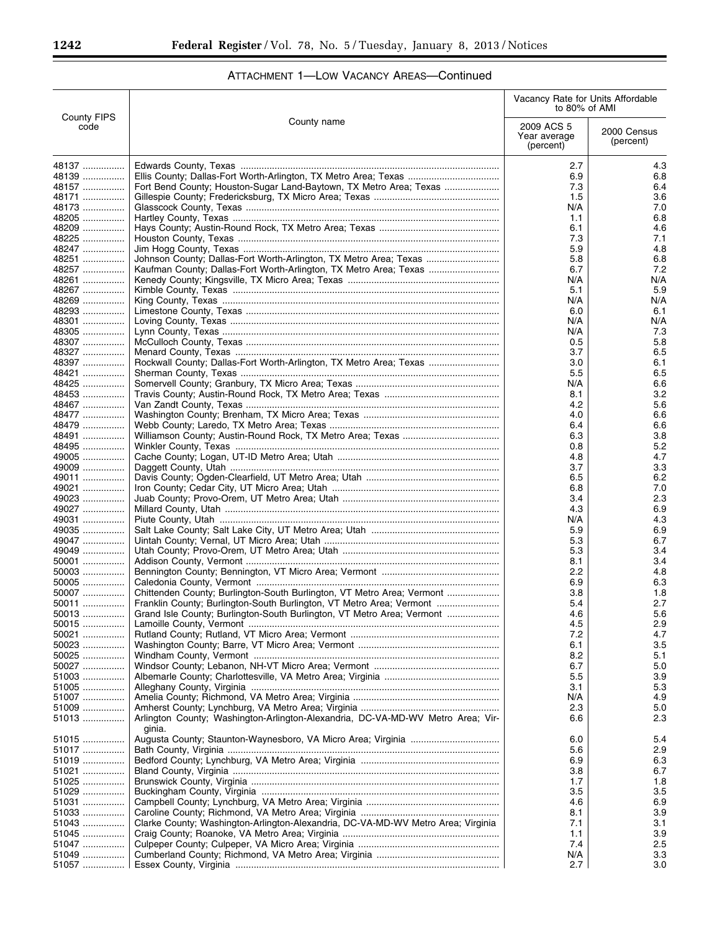|                            |                                                                                  | Vacancy Rate for Units Affordable<br>to 80% of AMI |                          |
|----------------------------|----------------------------------------------------------------------------------|----------------------------------------------------|--------------------------|
| <b>County FIPS</b><br>code | County name                                                                      | 2009 ACS 5<br>Year average<br>(percent)            | 2000 Census<br>(percent) |
| 48137                      |                                                                                  | 2.7                                                | 4.3                      |
| 48139                      |                                                                                  | 6.9                                                | 6.8                      |
| 48157                      | Fort Bend County; Houston-Sugar Land-Baytown, TX Metro Area; Texas               | 7.3                                                | 6.4                      |
| 48171                      |                                                                                  | 1.5                                                | 3.6                      |
| 48173<br>48205             |                                                                                  | N/A<br>1.1                                         | 7.0<br>6.8               |
| 48209                      |                                                                                  | 6.1                                                | 4.6                      |
| 48225                      |                                                                                  | 7.3                                                | 7.1                      |
| 48247                      |                                                                                  | 5.9                                                | 4.8                      |
| 48251                      | Johnson County; Dallas-Fort Worth-Arlington, TX Metro Area; Texas                | 5.8                                                | 6.8                      |
| 48257                      | Kaufman County; Dallas-Fort Worth-Arlington, TX Metro Area; Texas                | 6.7                                                | 7.2                      |
| 48261                      |                                                                                  | N/A                                                | N/A                      |
| 48267<br>48269             |                                                                                  | 5.1                                                | 5.9<br>N/A               |
| 48293                      |                                                                                  | N/A<br>6.0                                         | 6.1                      |
| 48301                      |                                                                                  | N/A                                                | N/A                      |
| 48305                      |                                                                                  | N/A                                                | 7.3                      |
| 48307                      |                                                                                  | 0.5                                                | 5.8                      |
| 48327                      |                                                                                  | 3.7                                                | 6.5                      |
| 48397                      | Rockwall County; Dallas-Fort Worth-Arlington, TX Metro Area; Texas               | 3.0                                                | 6.1                      |
| 48421                      |                                                                                  | 5.5                                                | 6.5                      |
| 48425                      |                                                                                  | N/A                                                | 6.6                      |
| 48453                      |                                                                                  | 8.1                                                | 3.2                      |
| 48467<br>48477             |                                                                                  | 4.2                                                | 5.6<br>6.6               |
| 48479                      |                                                                                  | 4.0<br>6.4                                         | 6.6                      |
| 48491                      |                                                                                  | 6.3                                                | 3.8                      |
| 48495                      |                                                                                  | 0.8                                                | 5.2                      |
| 49005                      |                                                                                  | 4.8                                                | 4.7                      |
| 49009                      |                                                                                  | 3.7                                                | 3.3                      |
| 49011                      |                                                                                  | 6.5                                                | 6.2                      |
| 49021                      |                                                                                  | 6.8                                                | 7.0                      |
| 49023                      |                                                                                  | 3.4                                                | 2.3                      |
| 49027                      |                                                                                  | 4.3                                                | 6.9                      |
| 49031<br>49035             |                                                                                  | N/A<br>5.9                                         | 4.3<br>6.9               |
| 49047                      |                                                                                  | 5.3                                                | 6.7                      |
| 49049                      |                                                                                  | 5.3                                                | 3.4                      |
| 50001                      |                                                                                  | 8.1                                                | 3.4                      |
| 50003                      |                                                                                  | 2.2                                                | 4.8                      |
| 50005                      |                                                                                  | 6.9                                                | 6.3                      |
| 50007                      | Chittenden County; Burlington-South Burlington, VT Metro Area; Vermont           | 3.8                                                | 1.8                      |
| 50011                      | Franklin County; Burlington-South Burlington, VT Metro Area; Vermont             | 5.4                                                | 2.7                      |
| 50013                      | Grand Isle County; Burlington-South Burlington, VT Metro Area; Vermont           | 4.6                                                | 5.6                      |
| 50015                      |                                                                                  | 4.5                                                | 2.9                      |
| 50021<br>50023             |                                                                                  | 7.2<br>6.1                                         | 4.7<br>3.5               |
| 50025                      |                                                                                  | 8.2                                                | 5.1                      |
| 50027                      |                                                                                  | 6.7                                                | 5.0                      |
| 51003                      |                                                                                  | 5.5                                                | 3.9                      |
| 51005                      |                                                                                  | 3.1                                                | 5.3                      |
| 51007                      |                                                                                  | N/A                                                | 4.9                      |
| 51009                      |                                                                                  | 2.3                                                | 5.0                      |
| 51013                      | Arlington County; Washington-Arlington-Alexandria, DC-VA-MD-WV Metro Area; Vir-  | 6.6                                                | 2.3                      |
|                            | ginia.                                                                           |                                                    |                          |
| 51015                      |                                                                                  | 6.0                                                | 5.4                      |
| 51017<br>51019             |                                                                                  | 5.6<br>6.9                                         | 2.9<br>6.3               |
| 51021                      |                                                                                  | 3.8                                                | 6.7                      |
| 51025                      |                                                                                  | 1.7                                                | 1.8                      |
| 51029                      |                                                                                  | 3.5                                                | 3.5                      |
| 51031                      |                                                                                  | 4.6                                                | 6.9                      |
| 51033                      |                                                                                  | 8.1                                                | 3.9                      |
| 51043                      | Clarke County; Washington-Arlington-Alexandria, DC-VA-MD-WV Metro Area; Virginia | 7.1                                                | 3.1                      |
| 51045                      |                                                                                  | 1.1                                                | 3.9                      |
| 51047                      |                                                                                  | 7.4                                                | 2.5                      |
| 51049<br>51057             |                                                                                  | N/A<br>2.7                                         | 3.3<br>3.0               |
|                            |                                                                                  |                                                    |                          |

 $\equiv$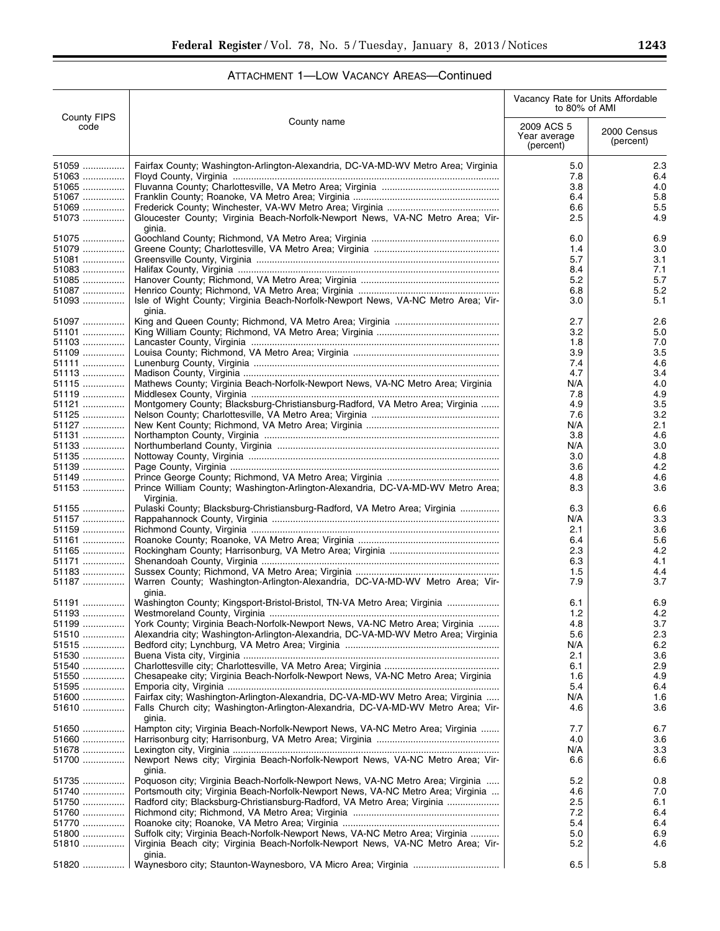|  |  | ATTACHMENT 1-LOW VACANCY AREAS-Continued |
|--|--|------------------------------------------|
|--|--|------------------------------------------|

|                            |                                                                                              | Vacancy Rate for Units Affordable<br>to 80% of AMI |                          |
|----------------------------|----------------------------------------------------------------------------------------------|----------------------------------------------------|--------------------------|
| <b>County FIPS</b><br>code | County name                                                                                  | 2009 ACS 5<br>Year average<br>(percent)            | 2000 Census<br>(percent) |
| 51059                      | Fairfax County; Washington-Arlington-Alexandria, DC-VA-MD-WV Metro Area; Virginia            | 5.0                                                | 2.3                      |
| 51063                      |                                                                                              | 7.8                                                | 6.4                      |
| 51065                      |                                                                                              | 3.8                                                | 4.0                      |
| 51067<br>51069             |                                                                                              | 6.4<br>6.6                                         | 5.8<br>5.5               |
| 51073                      | Gloucester County; Virginia Beach-Norfolk-Newport News, VA-NC Metro Area; Vir-<br>ginia.     | 2.5                                                | 4.9                      |
| 51075                      |                                                                                              | 6.0                                                | 6.9                      |
| 51079                      |                                                                                              | 1.4                                                | 3.0                      |
| 51081                      |                                                                                              | 5.7                                                | 3.1                      |
| 51083                      |                                                                                              | 8.4                                                | 7.1                      |
| 51085                      |                                                                                              | 5.2                                                | 5.7                      |
| 51087<br>51093             | Isle of Wight County; Virginia Beach-Norfolk-Newport News, VA-NC Metro Area; Vir-            | 6.8<br>3.0                                         | 5.2<br>5.1               |
| 51097                      | ginia.                                                                                       | 2.7                                                | 2.6                      |
| 51101                      |                                                                                              | 3.2                                                | 5.0                      |
| 51103                      |                                                                                              | 1.8                                                | 7.0                      |
| 51109                      |                                                                                              | 3.9                                                | 3.5                      |
| 51111                      |                                                                                              | 7.4                                                | 4.6                      |
| 51113                      |                                                                                              | 4.7                                                | 3.4                      |
| 51115                      | Mathews County; Virginia Beach-Norfolk-Newport News, VA-NC Metro Area; Virginia              | N/A                                                | 4.0                      |
| 51119                      |                                                                                              | 7.8                                                | 4.9                      |
| 51121                      | Montgomery County; Blacksburg-Christiansburg-Radford, VA Metro Area; Virginia                | 4.9                                                | 3.5                      |
| 51125                      |                                                                                              | 7.6                                                | 3.2<br>2.1               |
| 51127<br>51131             |                                                                                              | N/A<br>3.8                                         | 4.6                      |
| 51133                      |                                                                                              | N/A                                                | 3.0                      |
| 51135                      |                                                                                              | 3.0                                                | 4.8                      |
| 51139                      |                                                                                              | 3.6                                                | 4.2                      |
| 51149                      |                                                                                              | 4.8                                                | 4.6                      |
| 51153                      | Prince William County; Washington-Arlington-Alexandria, DC-VA-MD-WV Metro Area;<br>Virginia. | 8.3                                                | 3.6                      |
| 51155                      | Pulaski County; Blacksburg-Christiansburg-Radford, VA Metro Area; Virginia                   | 6.3                                                | 6.6                      |
| 51157                      |                                                                                              | N/A                                                | 3.3                      |
| 51159                      |                                                                                              | 2.1                                                | 3.6                      |
| 51161                      |                                                                                              | 6.4                                                | 5.6                      |
| 51165<br>51171             |                                                                                              | 2.3<br>6.3                                         | 4.2<br>4.1               |
| 51183                      |                                                                                              | 1.5                                                | 4.4                      |
| 51187                      | Warren County; Washington-Arlington-Alexandria, DC-VA-MD-WV Metro Area; Vir-<br>ginia.       | 7.9                                                | 3.7                      |
| 51191                      | Washington County; Kingsport-Bristol-Bristol, TN-VA Metro Area; Virginia                     | 6.1                                                | 6.9                      |
| 51193                      |                                                                                              | 1.2                                                | 4.2                      |
| 51199                      | York County; Virginia Beach-Norfolk-Newport News, VA-NC Metro Area; Virginia                 | 4.8                                                | 3.7                      |
| 51510                      | Alexandria city; Washington-Arlington-Alexandria, DC-VA-MD-WV Metro Area; Virginia           | 5.6                                                | 2.3                      |
| 51515                      |                                                                                              | N/A                                                | 6.2                      |
| 51530<br>51540             |                                                                                              | 2.1                                                | 3.6                      |
| 51550                      | Chesapeake city; Virginia Beach-Norfolk-Newport News, VA-NC Metro Area; Virginia             | 6.1<br>1.6                                         | 2.9<br>4.9               |
| 51595                      |                                                                                              | 5.4                                                | 6.4                      |
| 51600                      | Fairfax city; Washington-Arlington-Alexandria, DC-VA-MD-WV Metro Area; Virginia              | N/A                                                | 1.6                      |
| 51610                      | Falls Church city; Washington-Arlington-Alexandria, DC-VA-MD-WV Metro Area; Vir-<br>ginia.   | 4.6                                                | 3.6                      |
| 51650                      | Hampton city; Virginia Beach-Norfolk-Newport News, VA-NC Metro Area; Virginia                | 7.7                                                | 6.7                      |
| 51660                      |                                                                                              | 4.0                                                | 3.6                      |
| 51678                      |                                                                                              | N/A                                                | 3.3                      |
| 51700                      | Newport News city; Virginia Beach-Norfolk-Newport News, VA-NC Metro Area; Vir-<br>ginia.     | 6.6                                                | 6.6                      |
| 51735                      | Poquoson city; Virginia Beach-Norfolk-Newport News, VA-NC Metro Area; Virginia               | 5.2                                                | 0.8                      |
| 51740                      | Portsmouth city; Virginia Beach-Norfolk-Newport News, VA-NC Metro Area; Virginia             | 4.6<br>2.5                                         | 7.0                      |
| 51750<br>51760             | Radford city; Blacksburg-Christiansburg-Radford, VA Metro Area; Virginia                     | 7.2                                                | 6.1<br>6.4               |
| 51770                      |                                                                                              | 5.4                                                | 6.4                      |
| 51800                      | Suffolk city; Virginia Beach-Norfolk-Newport News, VA-NC Metro Area; Virginia                | 5.0                                                | 6.9                      |
| 51810                      | Virginia Beach city; Virginia Beach-Norfolk-Newport News, VA-NC Metro Area; Vir-<br>ginia.   | 5.2                                                | 4.6                      |
| 51820                      |                                                                                              | 6.5                                                | 5.8                      |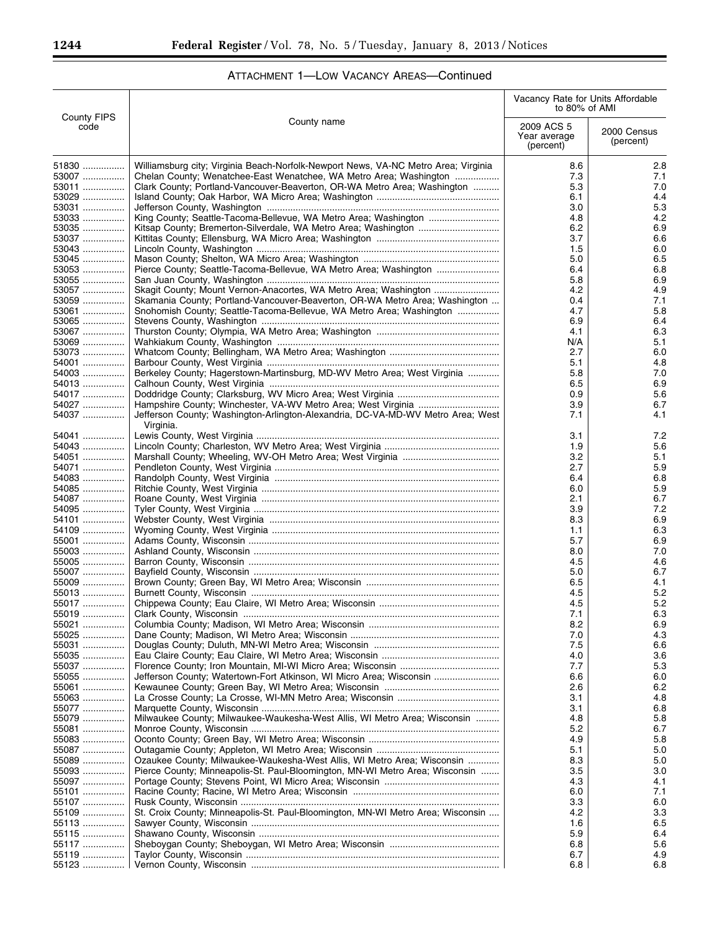$\equiv$ 

|                            |                                                                                                                                                 | Vacancy Rate for Units Affordable<br>to 80% of AMI |                          |
|----------------------------|-------------------------------------------------------------------------------------------------------------------------------------------------|----------------------------------------------------|--------------------------|
| <b>County FIPS</b><br>code | County name                                                                                                                                     | 2009 ACS 5<br>Year average<br>(percent)            | 2000 Census<br>(percent) |
| 51830                      | Williamsburg city; Virginia Beach-Norfolk-Newport News, VA-NC Metro Area; Virginia                                                              | 8.6                                                | 2.8                      |
| 53007                      | Chelan County; Wenatchee-East Wenatchee, WA Metro Area; Washington                                                                              | 7.3                                                | 7.1                      |
| 53011                      | Clark County; Portland-Vancouver-Beaverton, OR-WA Metro Area; Washington                                                                        | 5.3                                                | 7.0                      |
| 53029                      |                                                                                                                                                 | 6.1                                                | 4.4                      |
| 53031<br>53033             |                                                                                                                                                 | 3.0<br>4.8                                         | 5.3<br>4.2               |
| $53035$                    |                                                                                                                                                 | 6.2                                                | 6.9                      |
| 53037                      |                                                                                                                                                 | 3.7                                                | 6.6                      |
| 53043                      |                                                                                                                                                 | 1.5                                                | 6.0                      |
| 53045                      |                                                                                                                                                 | 5.0                                                | 6.5                      |
| 53053                      | Pierce County; Seattle-Tacoma-Bellevue, WA Metro Area; Washington                                                                               | 6.4                                                | 6.8                      |
| 53055                      |                                                                                                                                                 | 5.8                                                | 6.9                      |
| 53057<br>53059             | Skagit County; Mount Vernon-Anacortes, WA Metro Area; Washington<br>Skamania County; Portland-Vancouver-Beaverton, OR-WA Metro Area; Washington | 4.2<br>0.4                                         | 4.9<br>7.1               |
| 53061                      | Snohomish County; Seattle-Tacoma-Bellevue, WA Metro Area; Washington                                                                            | 4.7                                                | 5.8                      |
| 53065                      |                                                                                                                                                 | 6.9                                                | 6.4                      |
| 53067                      |                                                                                                                                                 | 4.1                                                | 6.3                      |
| 53069                      |                                                                                                                                                 | N/A                                                | 5.1                      |
| 53073                      |                                                                                                                                                 | 2.7                                                | 6.0                      |
| 54001                      |                                                                                                                                                 | 5.1                                                | 4.8                      |
| 54003<br>54013             | Berkeley County; Hagerstown-Martinsburg, MD-WV Metro Area; West Virginia                                                                        | 5.8<br>6.5                                         | 7.0<br>6.9               |
| 54017                      |                                                                                                                                                 | 0.9                                                | 5.6                      |
| 54027                      |                                                                                                                                                 | 3.9                                                | 6.7                      |
| 54037                      | Jefferson County; Washington-Arlington-Alexandria, DC-VA-MD-WV Metro Area; West<br>Virginia.                                                    | 7.1                                                | 4.1                      |
| 54041                      |                                                                                                                                                 | 3.1                                                | 7.2                      |
| 54043                      |                                                                                                                                                 | 1.9                                                | 5.6                      |
| 54051                      |                                                                                                                                                 | 3.2                                                | 5.1                      |
| 54071                      |                                                                                                                                                 | 2.7                                                | 5.9                      |
| 54083                      |                                                                                                                                                 | 6.4                                                | 6.8                      |
| 54085                      |                                                                                                                                                 | 6.0                                                | 5.9                      |
| 54087<br>54095             |                                                                                                                                                 | 2.1<br>3.9                                         | 6.7<br>7.2               |
| 54101                      |                                                                                                                                                 | 8.3                                                | 6.9                      |
| 54109                      |                                                                                                                                                 | 1.1                                                | 6.3                      |
| 55001                      |                                                                                                                                                 | 5.7                                                | 6.9                      |
| 55003                      |                                                                                                                                                 | 8.0                                                | 7.0                      |
| 55005                      |                                                                                                                                                 | 4.5                                                | 4.6                      |
| 55007                      |                                                                                                                                                 | 5.0                                                | 6.7                      |
| 55009<br>55013             |                                                                                                                                                 | 6.5<br>4.5                                         | 4.1<br>5.2               |
| 55017                      |                                                                                                                                                 | 4.5                                                | 5.2                      |
| 55019                      |                                                                                                                                                 | 7.1                                                | 6.3                      |
| 55021                      |                                                                                                                                                 | 8.2                                                | 6.9                      |
| 55025                      |                                                                                                                                                 | 7.0                                                | 4.3                      |
| 55031                      |                                                                                                                                                 | 7.5                                                | 6.6                      |
| 55035                      |                                                                                                                                                 | 4.0                                                | 3.6                      |
| 55037<br>55055             | Jefferson County; Watertown-Fort Atkinson, WI Micro Area; Wisconsin                                                                             | 7.7<br>6.6                                         | 5.3<br>6.0               |
| 55061                      |                                                                                                                                                 | 2.6                                                | 6.2                      |
| 55063                      |                                                                                                                                                 | 3.1                                                | 4.8                      |
| 55077                      |                                                                                                                                                 | 3.1                                                | 6.8                      |
| 55079                      | Milwaukee County; Milwaukee-Waukesha-West Allis, WI Metro Area; Wisconsin                                                                       | 4.8                                                | 5.8                      |
| 55081                      |                                                                                                                                                 | 5.2                                                | 6.7                      |
| 55083                      |                                                                                                                                                 | 4.9                                                | 5.8                      |
| 55087<br>55089             | Ozaukee County; Milwaukee-Waukesha-West Allis, WI Metro Area; Wisconsin                                                                         | 5.1<br>8.3                                         | 5.0<br>5.0               |
| 55093                      | Pierce County; Minneapolis-St. Paul-Bloomington, MN-WI Metro Area; Wisconsin                                                                    | 3.5                                                | 3.0                      |
| 55097                      |                                                                                                                                                 | 4.3                                                | 4.1                      |
| 55101                      |                                                                                                                                                 | 6.0                                                | 7.1                      |
| 55107                      |                                                                                                                                                 | 3.3                                                | 6.0                      |
| 55109                      | St. Croix County; Minneapolis-St. Paul-Bloomington, MN-WI Metro Area; Wisconsin                                                                 | 4.2                                                | 3.3                      |
| 55113                      |                                                                                                                                                 | 1.6                                                | 6.5                      |
| 55115                      |                                                                                                                                                 | 5.9                                                | 6.4                      |
| 55117<br>55119             |                                                                                                                                                 | 6.8<br>6.7                                         | 5.6<br>4.9               |
| 55123                      |                                                                                                                                                 | 6.8                                                | 6.8                      |

# ATTACHMENT 1—LOW VACANCY AREAS—Continued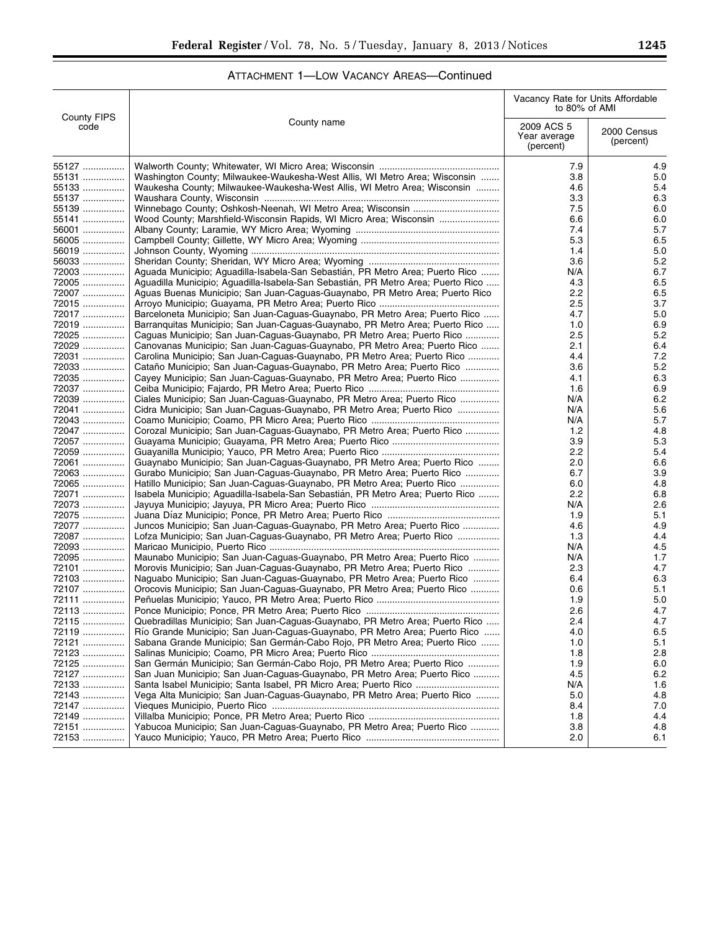| ATTACHMENT 1-LOW VACANCY AREAS-Continued |  |  |  |
|------------------------------------------|--|--|--|
|------------------------------------------|--|--|--|

|                            |                                                                                                                                               | Vacancy Rate for Units Affordable<br>to 80% of AMI |                          |
|----------------------------|-----------------------------------------------------------------------------------------------------------------------------------------------|----------------------------------------------------|--------------------------|
| <b>County FIPS</b><br>code | County name                                                                                                                                   | 2009 ACS 5<br>Year average<br>(percent)            | 2000 Census<br>(percent) |
| 55127                      |                                                                                                                                               | 7.9                                                | 4.9                      |
| 55131                      | Washington County; Milwaukee-Waukesha-West Allis, WI Metro Area; Wisconsin                                                                    | 3.8                                                | 5.0                      |
| 55133                      | Waukesha County; Milwaukee-Waukesha-West Allis, WI Metro Area; Wisconsin                                                                      | 4.6                                                | 5.4                      |
| 55137                      |                                                                                                                                               | 3.3                                                | 6.3                      |
| 55139                      |                                                                                                                                               | 7.5                                                | 6.0                      |
| 55141                      | Wood County; Marshfield-Wisconsin Rapids, WI Micro Area; Wisconsin                                                                            | 6.6                                                | 6.0                      |
| 56001                      |                                                                                                                                               | 7.4                                                | 5.7                      |
| 56005                      |                                                                                                                                               | 5.3                                                | 6.5                      |
| 56019                      |                                                                                                                                               | 1.4                                                | 5.0                      |
| 56033                      |                                                                                                                                               | 3.6                                                | 5.2                      |
| 72003                      | Aguada Municipio; Aguadilla-Isabela-San Sebastián, PR Metro Area; Puerto Rico                                                                 | N/A                                                | 6.7                      |
| 72005                      | Aguadilla Municipio; Aguadilla-Isabela-San Sebastián, PR Metro Area; Puerto Rico                                                              | 4.3                                                | 6.5                      |
| 72007<br>72015             | Aguas Buenas Municipio; San Juan-Caguas-Guaynabo, PR Metro Area; Puerto Rico                                                                  | 2.2<br>2.5                                         | 6.5<br>3.7               |
| 72017                      | Barceloneta Municipio; San Juan-Caguas-Guaynabo, PR Metro Area; Puerto Rico                                                                   | 4.7                                                | 5.0                      |
| 72019                      | Barranguitas Municipio; San Juan-Caguas-Guaynabo, PR Metro Area; Puerto Rico                                                                  | 1.0                                                | 6.9                      |
| 72025                      | Caguas Municipio; San Juan-Caguas-Guaynabo, PR Metro Area; Puerto Rico                                                                        | 2.5                                                | 5.2                      |
| 72029                      | Canovanas Municipio; San Juan-Caguas-Guaynabo, PR Metro Area; Puerto Rico                                                                     | 2.1                                                | 6.4                      |
| 72031                      | Carolina Municipio; San Juan-Caguas-Guaynabo, PR Metro Area; Puerto Rico                                                                      | 4.4                                                | 7.2                      |
| 72033                      | Cataño Municipio: San Juan-Caguas-Guaynabo, PR Metro Area; Puerto Rico                                                                        | 3.6                                                | 5.2                      |
| 72035                      | Cayey Municipio; San Juan-Caguas-Guaynabo, PR Metro Area; Puerto Rico                                                                         | 4.1                                                | 6.3                      |
| 72037                      |                                                                                                                                               | 1.6                                                | 6.9                      |
| 72039                      | Ciales Municipio; San Juan-Caguas-Guaynabo, PR Metro Area; Puerto Rico                                                                        | N/A                                                | 6.2                      |
| 72041                      | Cidra Municipio; San Juan-Caguas-Guaynabo, PR Metro Area; Puerto Rico                                                                         | N/A                                                | 5.6                      |
| 72043                      |                                                                                                                                               | N/A                                                | 5.7                      |
| 72047                      | Corozal Municipio; San Juan-Caguas-Guaynabo, PR Metro Area; Puerto Rico                                                                       | 1.2                                                | 4.8                      |
| 72057                      |                                                                                                                                               | 3.9                                                | 5.3                      |
| 72059                      |                                                                                                                                               | 2.2                                                | 5.4                      |
| 72061                      | Guaynabo Municipio; San Juan-Caguas-Guaynabo, PR Metro Area; Puerto Rico                                                                      | 2.0                                                | 6.6                      |
| 72063                      | Gurabo Municipio; San Juan-Caguas-Guaynabo, PR Metro Area; Puerto Rico                                                                        | 6.7                                                | 3.9                      |
| 72065                      | Hatillo Municipio; San Juan-Caguas-Guaynabo, PR Metro Area; Puerto Rico                                                                       | 6.0                                                | 4.8                      |
| 72071<br>72073             | Isabela Municipio; Aguadilla-Isabela-San Sebastián, PR Metro Area; Puerto Rico                                                                | 2.2                                                | 6.8<br>2.6               |
| 72075                      |                                                                                                                                               | N/A<br>1.9                                         | 5.1                      |
| 72077                      | Juncos Municipio; San Juan-Caguas-Guaynabo, PR Metro Area; Puerto Rico                                                                        | 4.6                                                | 4.9                      |
| 72087                      | Lofza Municipio; San Juan-Caguas-Guaynabo, PR Metro Area; Puerto Rico                                                                         | 1.3                                                | 4.4                      |
| 72093                      |                                                                                                                                               | N/A                                                | 4.5                      |
| 72095                      | Maunabo Municipio; San Juan-Caguas-Guaynabo, PR Metro Area; Puerto Rico                                                                       | N/A                                                | 1.7                      |
| 72101                      | Morovis Municipio; San Juan-Caguas-Guaynabo, PR Metro Area; Puerto Rico                                                                       | 2.3                                                | 4.7                      |
| 72103                      | Naguabo Municipio; San Juan-Caguas-Guaynabo, PR Metro Area; Puerto Rico                                                                       | 6.4                                                | 6.3                      |
| 72107                      | Orocovis Municipio; San Juan-Caguas-Guaynabo, PR Metro Area; Puerto Rico                                                                      | 0.6                                                | 5.1                      |
| 72111                      |                                                                                                                                               | 1.9                                                | 5.0                      |
| 72113                      |                                                                                                                                               | 2.6                                                | 4.7                      |
| 72115                      | Quebradillas Municipio; San Juan-Caguas-Guaynabo, PR Metro Area; Puerto Rico                                                                  | 2.4                                                | 4.7                      |
| <u>72119 </u>              | Rio Grande Municipio; San Juan-Caguas-Guaynabo, PR Metro Area; Puerto Rico                                                                    | 4.0                                                | 6.5                      |
| 72121                      | Sabana Grande Municipio; San Germán-Cabo Rojo, PR Metro Area; Puerto Rico                                                                     | 1.0                                                | 5.1                      |
| 72123                      |                                                                                                                                               | 1.8                                                | 2.8                      |
| 72125                      | San Germán Municipio; San Germán-Cabo Rojo, PR Metro Area; Puerto Rico                                                                        | 1.9                                                | 6.0                      |
| 72127                      | San Juan Municipio; San Juan-Caguas-Guaynabo, PR Metro Area; Puerto Rico                                                                      | 4.5                                                | 6.2                      |
| 72133<br>72143             | Santa Isabel Municipio; Santa Isabel, PR Micro Area; Puerto Rico<br>Vega Alta Municipio; San Juan-Caguas-Guaynabo, PR Metro Area; Puerto Rico | N/A                                                | 1.6                      |
| 72147                      |                                                                                                                                               | 5.0<br>8.4                                         | 4.8<br>7.0               |
| 72149                      |                                                                                                                                               | 1.8                                                | 4.4                      |
| 72151                      | Yabucoa Municipio; San Juan-Caguas-Guaynabo, PR Metro Area; Puerto Rico                                                                       | 3.8                                                | 4.8                      |
| 72153                      |                                                                                                                                               | 2.0                                                | 6.1                      |
|                            |                                                                                                                                               |                                                    |                          |